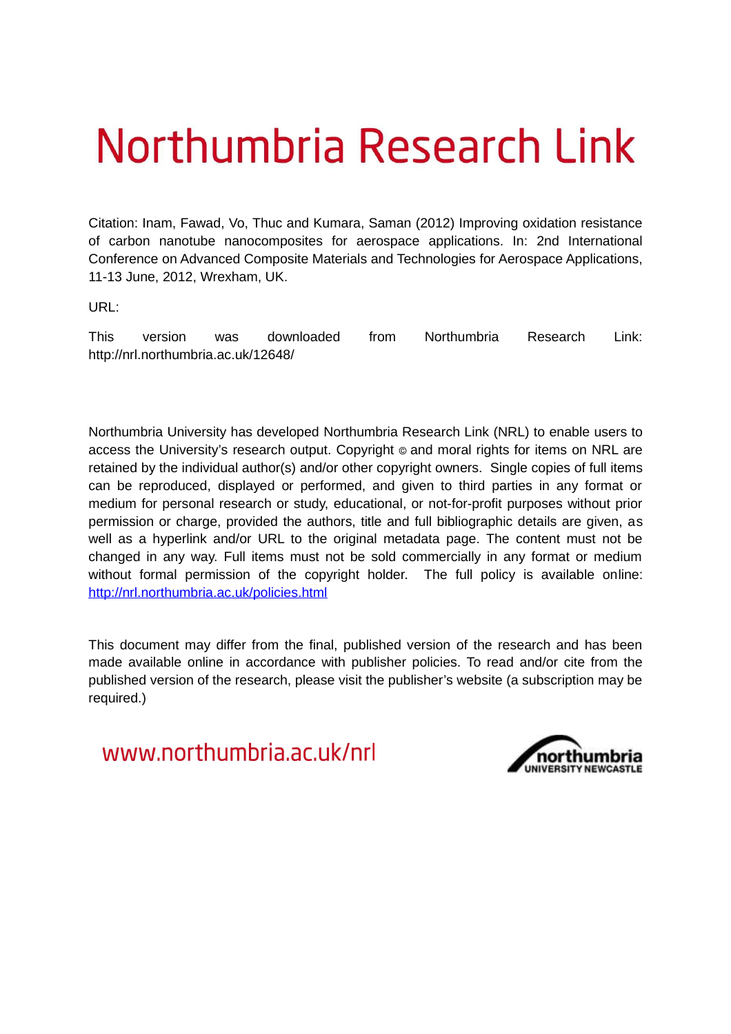# Northumbria Research Link

Citation: Inam, Fawad, Vo, Thuc and Kumara, Saman (2012) Improving oxidation resistance of carbon nanotube nanocomposites for aerospace applications. In: 2nd International Conference on Advanced Composite Materials and Technologies for Aerospace Applications, 11-13 June, 2012, Wrexham, UK.

URL:

This version was downloaded from Northumbria Research Link: http://nrl.northumbria.ac.uk/12648/

Northumbria University has developed Northumbria Research Link (NRL) to enable users to access the University's research output. Copyright  $\circ$  and moral rights for items on NRL are retained by the individual author(s) and/or other copyright owners. Single copies of full items can be reproduced, displayed or performed, and given to third parties in any format or medium for personal research or study, educational, or not-for-profit purposes without prior permission or charge, provided the authors, title and full bibliographic details are given, as well as a hyperlink and/or URL to the original metadata page. The content must not be changed in any way. Full items must not be sold commercially in any format or medium without formal permission of the copyright holder. The full policy is available online: <http://nrl.northumbria.ac.uk/policies.html>

This document may differ from the final, published version of the research and has been made available online in accordance with publisher policies. To read and/or cite from the published version of the research, please visit the publisher's website (a subscription may be required.)

www.northumbria.ac.uk/nrl

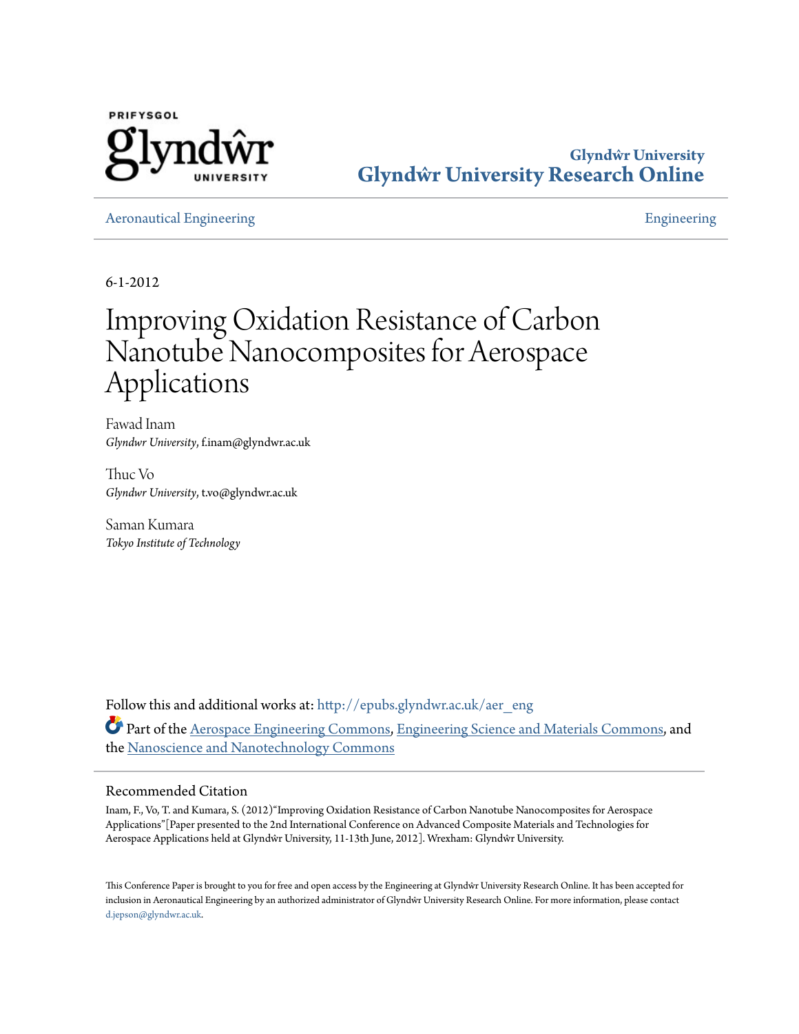

**Glyndŵr University [Glyndŵr University Research Online](http://epubs.glyndwr.ac.uk?utm_source=epubs.glyndwr.ac.uk%2Faer_eng%2F18&utm_medium=PDF&utm_campaign=PDFCoverPages)**

[Aeronautical Engineering](http://epubs.glyndwr.ac.uk/aer_eng?utm_source=epubs.glyndwr.ac.uk%2Faer_eng%2F18&utm_medium=PDF&utm_campaign=PDFCoverPages) [Engineering](http://epubs.glyndwr.ac.uk/scitech?utm_source=epubs.glyndwr.ac.uk%2Faer_eng%2F18&utm_medium=PDF&utm_campaign=PDFCoverPages) Engineering Engineering Engineering Engineering

6-1-2012

## Improving Oxidation Resistance of Carbon Nanotube Nanocomposites for Aerospace Applications

Fawad Inam *Glyndwr University*, f.inam@glyndwr.ac.uk

huc Vo *Glyndwr University*, t.vo@glyndwr.ac.uk

Saman Kumara *Tokyo Institute of Technology*

Follow this and additional works at: [htp://epubs.glyndwr.ac.uk/aer\\_eng](http://epubs.glyndwr.ac.uk/aer_eng?utm_source=epubs.glyndwr.ac.uk%2Faer_eng%2F18&utm_medium=PDF&utm_campaign=PDFCoverPages) Part of the [Aerospace Engineering Commons](http://network.bepress.com/hgg/discipline/218?utm_source=epubs.glyndwr.ac.uk%2Faer_eng%2F18&utm_medium=PDF&utm_campaign=PDFCoverPages), [Engineering Science and Materials Commons,](http://network.bepress.com/hgg/discipline/279?utm_source=epubs.glyndwr.ac.uk%2Faer_eng%2F18&utm_medium=PDF&utm_campaign=PDFCoverPages) and the [Nanoscience and Nanotechnology Commons](http://network.bepress.com/hgg/discipline/313?utm_source=epubs.glyndwr.ac.uk%2Faer_eng%2F18&utm_medium=PDF&utm_campaign=PDFCoverPages)

#### Recommended Citation

Inam, F., Vo, T. and Kumara, S. (2012)"Improving Oxidation Resistance of Carbon Nanotube Nanocomposites for Aerospace Applications"[Paper presented to the 2nd International Conference on Advanced Composite Materials and Technologies for Aerospace Applications held at Glyndŵr University, 11-13th June, 2012]. Wrexham: Glyndŵr University.

his Conference Paper is brought to you for free and open access by the Engineering at Glyndŵr University Research Online. It has been accepted for inclusion in Aeronautical Engineering by an authorized administrator of Glyndŵr University Research Online. For more information, please contact [d.jepson@glyndwr.ac.uk](mailto:d.jepson@glyndwr.ac.uk).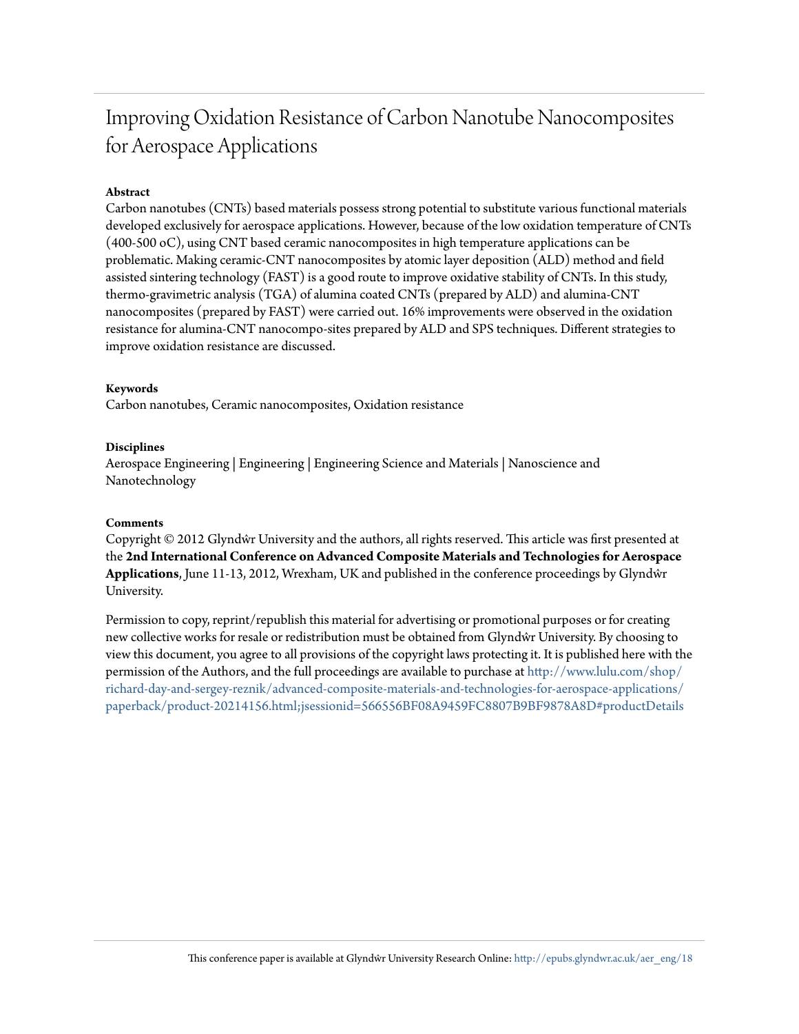## Improving Oxidation Resistance of Carbon Nanotube Nanocomposites for Aerospace Applications

#### **Abstract**

Carbon nanotubes (CNTs) based materials possess strong potential to substitute various functional materials developed exclusively for aerospace applications. However, because of the low oxidation temperature of CNTs (400-500 oC), using CNT based ceramic nanocomposites in high temperature applications can be problematic. Making ceramic-CNT nanocomposites by atomic layer deposition (ALD) method and ield assisted sintering technology (FAST) is a good route to improve oxidative stability of CNTs. In this study, thermo-gravimetric analysis (TGA) of alumina coated CNTs (prepared by ALD) and alumina-CNT nanocomposites (prepared by FAST) were carried out. 16% improvements were observed in the oxidation resistance for alumina-CNT nanocompo-sites prepared by ALD and SPS techniques. Diferent strategies to improve oxidation resistance are discussed.

#### **Keywords**

Carbon nanotubes, Ceramic nanocomposites, Oxidation resistance

#### **Disciplines**

Aerospace Engineering | Engineering | Engineering Science and Materials | Nanoscience and Nanotechnology

#### **Comments**

Copyright © 2012 Glyndŵr University and the authors, all rights reserved. This article was first presented at the **2nd International Conference on Advanced Composite Materials and Technologies for Aerospace Applications**, June 11-13, 2012, Wrexham, UK and published in the conference proceedings by Glyndŵr University.

Permission to copy, reprint/republish this material for advertising or promotional purposes or for creating new collective works for resale or redistribution must be obtained from Glyndŵr University. By choosing to view this document, you agree to all provisions of the copyright laws protecting it. It is published here with the permission of the Authors, and the full proceedings are available to purchase at [htp://www.lulu.com/shop/](http://www.lulu.com/shop/richard-day-and-sergey-reznik/advanced-composite-materials-and-technologies-for-aerospace-applications/paperback/product-20214156.html;jsessionid=566556BF08A9459FC8807B9BF9878A8D#productDetails) [richard-day-and-sergey-reznik/advanced-composite-materials-and-technologies-for-aerospace-applications/](http://www.lulu.com/shop/richard-day-and-sergey-reznik/advanced-composite-materials-and-technologies-for-aerospace-applications/paperback/product-20214156.html;jsessionid=566556BF08A9459FC8807B9BF9878A8D#productDetails) [paperback/product-20214156.html;jsessionid=566556BF08A9459FC8807B9BF9878A8D#productDetails](http://www.lulu.com/shop/richard-day-and-sergey-reznik/advanced-composite-materials-and-technologies-for-aerospace-applications/paperback/product-20214156.html;jsessionid=566556BF08A9459FC8807B9BF9878A8D#productDetails)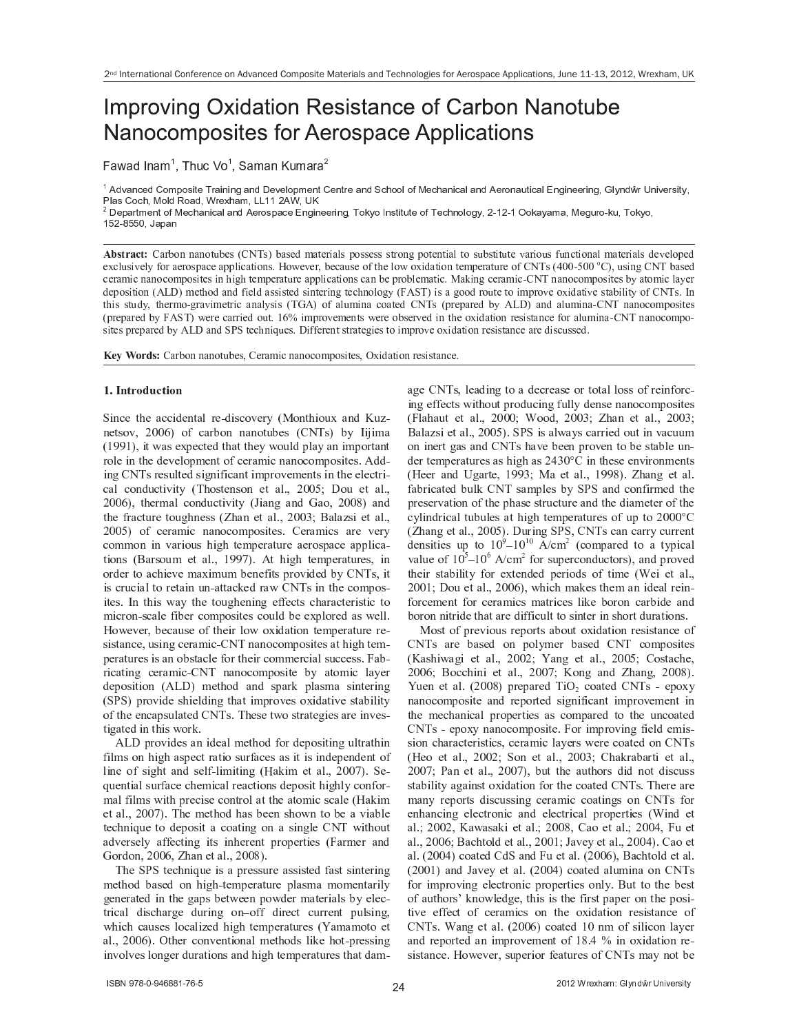### Improving Oxidation Resistance of Carbon Nanotube Nanocomposites for Aerospace Applications

✁ ✂ ✁ ✄ ☎ ✆ ✁ ✝ ✞ ✟ ✠ ✡ ☛ ☞ ✌ ✍ ✞ ✟ ✎ ✁ ✝ ✁ ✆ ✏ ☛ ✝ ✁ ✑ ✁ ✒

✓ ✔ ✕ ✖ ✗ ✘ ✙ ✚ ✕ ✛ ✜ ✢ ✣ ✜ ✤ ✥ ✦ ✚ ✧ ★ ✗ ✥ ✘ ✥ ✘ ✩ ✗ ✘ ✕ ✪ ✚ ✖ ✚ ✫ ✜ ✣ ✢ ✚ ✘ ✦ ✛ ✚ ✘ ✦ ★ ✚ ✗ ✘ ✕ ✬ ✙ ✭ ✜ ✜ ✫ ✜ ✮ ✯ ✚ ✙ ✭ ✗ ✘ ✥ ✙ ✗ ✫ ✗ ✘ ✕ ✔ ✚ ★ ✜ ✘ ✗ ✰ ✦ ✥ ✙ ✗ ✫ ✱ ✘ ✩ ✥ ✘ ✚ ✚ ★ ✥ ✘ ✩ ✲ ✳ ✫ ✴ ✘ ✕ ✵ ✶ ✷ ✸ ✹ ✺ ✻ ✶ ✼ ✹ ✽ ✾ ✿ ❀ ✫ ✗ ✤ ✛ ✜ ✙ ✭ ✲ ✯ ✜ ✫ ✕ ❁ ✜ ✗ ✕ ✲ ❂ ★ ✚ ❃ ✭ ✗ ✢ ✲ ❄ ❄ ❅ ❅ ❆ ✔ ❂ ✲ ❇ ❈

Department of Mechanical and Aerospace Engineering, Tokyo Institute of Technology, 2-12-1 Ookayama, Meguro-ku, Tokyo,

▼ ◆ ❖ <sup>P</sup> ◗ ❘ ❙ <sup>P</sup> ❚ ❯ ❱ ❲ ❳ ❨ ❩ ❩ ❱ ❩ ❨ ❬ ❭ ❳ ❪ ❫ ❴ ❯ ❵ ❛ ❫ ❜ ❳ ❱ ❫ ❪ ❝ ❞ ❱ ❬ ❪ ❲ ❡ ❱ ❢ ❫ ❣ ❨ ❫ ❫ ❪ ❫ ❫ ❫ ❬ ❲ ❨ ❩ ❤ ❣ ❨ ❬ ❪ ❩ ❬ ❡ ❱ ❢ ❬ ❨ ❫ ❭ ❳ ❫ ❬ ❡ ❬ ❭ ❬ ❪ ✐ ❱ ❲ ❡ ❨ ❭ ❫ ❥ ❭ ❩ ❦ ❬ ❡ ❨ ❩ ❱ ❢ ❞ ❱ ❬ ❪ ❲ ❡ ❱ ❢ ❫ ❝ ❪ ✐ ❪ ❢ ❨ ❣ ❪ ❝ ❪ ❧ ❦ ❢ ❭ ❫ ❡ ✐ ❪ ❢ ♠ ❥ ❨ ❲ ❱ ❪ ❲ ❨ ❫ ❣ ❱ ❦ ❪ ❱ ❣ ❣ ❢ ❡ ❦ ❱ ❬ ❡ ❨ ❩ ❫ ♥ ♦ ❨ ♣ ❪ ✐ ❪ ❲ <sup>q</sup> ❳ ❪ ❦ ❱ ❭ ❫ ❪ ❨ ❥ ❬ <sup>r</sup> ❪ ❢ ❨ ♣ ❨ ❧ ❡ ❝ ❱ ❬ ❡ ❨ ❩ ❬ ❪ ❞ ❣ ❪ ❲ ❱ ❬ ❭ ❲ ❪ ❨ ❥ ❯ ❵ ❛ ❫ ❴ <sup>s</sup> <sup>t</sup> <sup>t</sup> ✉ ✈ <sup>t</sup> <sup>t</sup> ✇ ❯ ❜ <sup>q</sup> ❭ ❫ ❡ ❩ ❤ ❯ ❵ ❛ ❳ ❱ ❫ ❪ ❝ ❦ ❪ ❲ ❱ ❞ ❡ ❦ ❩ ❱ ❩ ❨ ❦ ❨ ❞ ❣ ❨ ❫ ❡ ❬ ❪ ❫ ❡ ❩ <sup>r</sup> ❡ ❤ <sup>r</sup> ❬ ❪ ❞ ❣ ❪ ❲ ❱ ❬ ❭ ❲ ❪ ❱ ❣ ❣ ❢ ❡ ❦ ❱ ❬ ❡ ❨ ❩ ❫ ❦ ❱ ❩ ❳ ❪ ❣ ❲ ❨ ❳ ❢ ❪ ❞ ❱ ❬ ❡ ❦ ♥ <sup>①</sup> ❱ <sup>②</sup> ❡ ❩ ❤ ❦ ❪ ❲ ❱ ❞ ❡ ❦ ✉ ❯ ❵ ❛ ❩ ❱ ❩ ❨ ❦ ❨ ❞ ❣ ❨ ❫ ❡ ❬ ❪ ❫ ❳ ♠ ❱ ❬ ❨ ❞ ❡ ❦ ❢ ❱ ♠ ❪ ❲ ❝ ❪ ❣ ❨ ❫ ❡ ❬ ❡ ❨ ❩ ❴ <sup>③</sup> <sup>④</sup> <sup>⑤</sup> ❜ ❞ ❪ ❬ <sup>r</sup> ❨ ❝ ❱ ❩ ❝ ❥ ❡ ❪ ❢ ❝ ❱ ❫ ❫ ❡ ❫ ❬ ❪ ❝ ❫ ❡ ❩ ❬ ❪ ❲ ❡ ❩ ❤ ❬ ❪ ❦ <sup>r</sup> ❩ ❨ ❢ ❨ ❤ ♠ ❴ <sup>⑥</sup> <sup>③</sup> <sup>⑦</sup> ❛ ❜ ❡ ❫ ❱ ❤ ❨ ❨ ❝ ❲ ❨ ❭ ❬ ❪ ❬ ❨ ❡ ❞ ❣ ❲ ❨ ✐ ❪ ❨ ❧ ❡ ❝ ❱ ❬ ❡ ✐ ❪ ❫ ❬ ❱ ❳ ❡ ❢ ❡ ❬ ♠ ❨ ❥ ❯ ❵ ❛ ❫ ♥ <sup>⑧</sup> ❩ ❬ <sup>r</sup> ❡ ❫ ❫ ❬ ❭ ❝ ♠ <sup>q</sup> ❬ <sup>r</sup> ❪ ❲ ❞ ❨ ✉ ❤ ❲ ❱ ✐ ❡ ❞ ❪ ❬ ❲ ❡ ❦ ❱ ❩ ❱ ❢ ♠ ❫ ❡ ❫ ❴ ❛ <sup>⑨</sup> <sup>③</sup> ❜ ❨ ❥ ❱ ❢ ❭ ❞ ❡ ❩ ❱ ❦ ❨ ❱ ❬ ❪ ❝ ❯ ❵ ❛ ❫ ❴ ❣ ❲ ❪ ❣ ❱ ❲ ❪ ❝ ❳ ♠ <sup>③</sup> <sup>④</sup> <sup>⑤</sup> ❜ ❱ ❩ ❝ ❱ ❢ ❭ ❞ ❡ ❩ ❱ ✉ ❯ ❵ ❛ ❩ ❱ ❩ ❨ ❦ ❨ ❞ ❣ ❨ ❫ ❡ ❬ ❪ ❫ ❴ ❣ ❲ ❪ ❣ ❱ ❲ ❪ ❝ ❳ ♠ <sup>⑥</sup> <sup>③</sup> <sup>⑦</sup> ❛ ❜ ♣ ❪ ❲ ❪ ❦ ❱ ❲ ❲ ❡ ❪ ❝ ❨ ❭ ❬ ♥ <sup>⑩</sup> <sup>❶</sup> <sup>❷</sup> ❡ ❞ ❣ ❲ ❨ ✐ ❪ ❞ ❪ ❩ ❬ ❫ ♣ ❪ ❲ ❪ ❨ ❳ ❫ ❪ ❲ ✐ ❪ ❝ ❡ ❩ ❬ <sup>r</sup> ❪ ❨ ❧ ❡ ❝ ❱ ❬ ❡ ❨ ❩ ❲ ❪ ❫ ❡ ❫ ❬ ❱ ❩ ❦ ❪ ❥ ❨ ❲ ❱ ❢ ❭ ❞ ❡ ❩ ❱ ✉ ❯ ❵ ❛ ❩ ❱ ❩ ❨ ❦ ❨ ❞ ❣ ❨ ✉ ❫ ❡ ❬ ❪ ❫ ❣ ❲ ❪ ❣ ❱ ❲ ❪ ❝ ❳ ♠ <sup>③</sup> <sup>④</sup> <sup>⑤</sup> ❱ ❩ ❝ <sup>⑦</sup> <sup>❸</sup> <sup>⑦</sup> ❬ ❪ ❦ <sup>r</sup> ❩ ❡ <sup>❹</sup> ❭ ❪ ❫ ♥ <sup>⑤</sup> ❡ ❥ ❥ ❪ ❲ ❪ ❩ ❬ ❫ ❬ ❲ ❱ ❬ ❪ ❤ ❡ ❪ ❫ ❬ ❨ ❡ ❞ ❣ ❲ ❨ ✐ ❪ ❨ ❧ ❡ ❝ ❱ ❬ ❡ ❨ ❩ ❲ ❪ ❫ ❡ ❫ ❬ ❱ ❩ ❦ ❪ ❱ ❲ ❪ ❝ ❡ ❫ ❦ ❭ ❫ ❫ ❪ ❝ ♥

❺ <sup>❻</sup> <sup>❼</sup> <sup>❽</sup> <sup>❾</sup> ◗ <sup>❿</sup> ❖ ❚ ❯ ❱ ❲ ❳ ❨ ❩ ❩ ❱ ❩ ❨ ❬ ❭ ❳ ❪ ❫ <sup>q</sup> ❯ ❪ ❲ ❱ ❞ ❡ ❦ ❩ ❱ ❩ ❨ ❦ ❨ ❞ ❣ ❨ ❫ ❡ ❬ ❪ ❫ <sup>q</sup> <sup>➀</sup> ❧ ❡ ❝ ❱ ❬ ❡ ❨ ❩ ❲ ❪ ❫ ❡ ❫ ❬ ❱ ❩ ❦ ❪ ♥

#### ➁ <sup>➂</sup> <sup>➃</sup> <sup>➄</sup> <sup>➅</sup> <sup>➆</sup> <sup>➇</sup> <sup>➈</sup> <sup>➉</sup> <sup>➊</sup> <sup>➅</sup> <sup>➋</sup> <sup>➇</sup> <sup>➄</sup>

➌ <sup>➍</sup> <sup>➎</sup> <sup>➏</sup> <sup>➐</sup> <sup>➑</sup> <sup>➒</sup> <sup>➐</sup> <sup>➓</sup> <sup>➏</sup> <sup>➏</sup> <sup>➍</sup> ➔ <sup>➐</sup> <sup>➎</sup> <sup>➑</sup> <sup>➓</sup> <sup>→</sup> ➣ <sup>➐</sup> <sup>↔</sup> ➔ <sup>➍</sup> ↕ <sup>➏</sup> ➙ ➛ <sup>➐</sup> ➣ ➜ ➝ ➞ ➙ <sup>➎</sup> <sup>➑</sup> <sup>➒</sup> <sup>➍</sup> ➙ ➟ ➠ <sup>➓</sup> <sup>➎</sup> ➔ ➡ ➟ ➢ <sup>↔</sup> ➎ <sup>➐</sup> <sup>➑</sup> ↕ ➙ ➛ ➤ ➥ ➦ ➦ ➧ ➨ ➙ ➩ <sup>➏</sup> <sup>➓</sup> ➣ ➫ ➙ <sup>➎</sup> <sup>➎</sup> <sup>➓</sup> <sup>➎</sup> ➙ <sup>➑</sup> ➟ ➫ <sup>➐</sup> ↕ ➝ ➭ ➯ ➲ ↕ ➨ ➫ ➜ ➳ ➍ ➵ <sup>➍</sup> ➸ <sup>➓</sup> ➝ ➺ ➻ ➻ ➺ ➨ ➤ <sup>➍</sup> <sup>➑</sup> ➼ <sup>➓</sup> ↕ <sup>➐</sup> ➠ ➽ <sup>➐</sup> <sup>➏</sup> <sup>➑</sup> <sup>➐</sup> ➔ <sup>➑</sup> <sup>➒</sup> <sup>➓</sup> <sup>➑</sup> <sup>➑</sup> <sup>➒</sup> <sup>➐</sup> ➜ ➼ ➙ ➟ <sup>→</sup> ➔ ➽ <sup>→</sup> <sup>➓</sup> ➜ <sup>➓</sup> <sup>➎</sup> <sup>➍</sup> ➸ ➽ ➙ ➣ <sup>➑</sup> <sup>➓</sup> <sup>➎</sup> <sup>➑</sup> ➣ ➙ <sup>→</sup> <sup>➐</sup> <sup>➍</sup> <sup>➎</sup> <sup>➑</sup> <sup>➒</sup> <sup>➐</sup> ➔ <sup>➐</sup> ➛ <sup>➐</sup> <sup>→</sup> ➙ ➽ ➸ <sup>➐</sup> <sup>➎</sup> <sup>➑</sup> ➙ ➩ <sup>➏</sup> <sup>➐</sup> ➣ <sup>➓</sup> ➸ <sup>➍</sup> <sup>➏</sup> <sup>➎</sup> <sup>➓</sup> <sup>➎</sup> ➙ <sup>➏</sup> ➙ ➸ ➽ ➙ ↕ <sup>➍</sup> <sup>➑</sup> <sup>➐</sup> ↕ ➾ ➚ ➔ ➔ <sup>↔</sup> ➍ <sup>➎</sup> ➪ ➭ ➯ ➲ ↕ ➣ <sup>➐</sup> ↕ ➟ → ➑ <sup>➐</sup> ➔ ↕ <sup>➍</sup> ➪ <sup>➎</sup> <sup>➍</sup> ➩ <sup>➍</sup> <sup>➏</sup> <sup>➓</sup> <sup>➎</sup> <sup>➑</sup> <sup>➍</sup> ➸ ➽ ➣ ➙ ➛ <sup>➐</sup> ➸ <sup>➐</sup> <sup>➎</sup> <sup>➑</sup> ↕ <sup>➍</sup> <sup>➎</sup> <sup>➑</sup> <sup>➒</sup> <sup>➐</sup> <sup>➐</sup> <sup>→</sup> <sup>➐</sup> <sup>➏</sup> <sup>➑</sup> ➣ <sup>➍</sup> <sup>↔</sup> ➏ <sup>➓</sup> <sup>→</sup> <sup>➏</sup> ➙ <sup>➎</sup> ➔ ➟ <sup>➏</sup> <sup>➑</sup> <sup>➍</sup> ➛ <sup>➍</sup> <sup>➑</sup> ➜ ➝ ➲ <sup>➒</sup> ➙ ↕ <sup>➑</sup> <sup>➐</sup> <sup>➎</sup> ↕ ➙ <sup>➎</sup> <sup>➐</sup> <sup>➑</sup> <sup>➓</sup> <sup>→</sup> ➾ ➤ ➥ ➦ ➦ ➶ ➹ ➘ ➙ ➟ <sup>➐</sup> <sup>➑</sup> <sup>➓</sup> <sup>→</sup> ➾ ➤ ➥ ➦ ➦ ➧ ➨ ➤ <sup>➑</sup> <sup>➒</sup> <sup>➐</sup> ➣ ➸ <sup>➓</sup> <sup>→</sup> <sup>➏</sup> ➙ <sup>➎</sup> ➔ ➟ <sup>➏</sup> <sup>➑</sup> <sup>➍</sup> ➛ <sup>➍</sup> <sup>➑</sup> ➜ ➝ ➴ <sup>➍</sup> <sup>➓</sup> <sup>➎</sup> ➪ <sup>➓</sup> <sup>➎</sup> ➔ ➷ <sup>➓</sup> ➙ ➤ ➥ ➦ ➦ ➬ ➨ <sup>➓</sup> <sup>➎</sup> ➔ ➑ <sup>➒</sup> <sup>➐</sup> ➩ ➣ <sup>➓</sup> <sup>➏</sup> <sup>➑</sup> ➟ ➣ <sup>➐</sup> <sup>➑</sup> ➙ ➟ ➪ <sup>➒</sup> <sup>➎</sup> <sup>➐</sup> ↕ ↕ ➝ ➮ <sup>➒</sup> <sup>➓</sup> <sup>➎</sup> <sup>➐</sup> <sup>➑</sup> <sup>➓</sup> <sup>→</sup> ➾ ➤ ➥ ➦ ➦ ➱ ➹ ✃ <sup>➓</sup> <sup>→</sup> <sup>➓</sup> ➢ ↕ <sup>➍</sup> <sup>➐</sup> <sup>➑</sup> <sup>➓</sup> <sup>→</sup> ➾ ➤ ➥ ➦ ➦ ➶ ➨ ➙ ➩ <sup>➏</sup> <sup>➐</sup> ➣ <sup>➓</sup> ➸ <sup>➍</sup> <sup>➏</sup> <sup>➎</sup> <sup>➓</sup> <sup>➎</sup> ➙ <sup>➏</sup> ➙ ➸ ➽ ➙ ↕ <sup>➍</sup> <sup>➑</sup> <sup>➐</sup> ↕ ➾ ➭ <sup>➐</sup> ➣ <sup>➓</sup> ➸ <sup>➍</sup> <sup>➏</sup> ↕ <sup>➓</sup> ➣ <sup>➐</sup> ➛ <sup>➐</sup> ➣ ➜ ➏ ➙ ➸ ➸ ➙ <sup>➎</sup> <sup>➍</sup> <sup>➎</sup> ➛ <sup>➓</sup> ➣ <sup>➍</sup> ➙ ➟ ↕ <sup>➒</sup> <sup>➍</sup> ➪ <sup>➒</sup> <sup>➑</sup> <sup>➐</sup> ➸ ➽ <sup>➐</sup> ➣ <sup>➓</sup> <sup>➑</sup> ➟ ➣ <sup>➐</sup> <sup>➓</sup> <sup>➐</sup> ➣ ➙ ↕ ➽ <sup>➓</sup> <sup>➏</sup> <sup>➐</sup> <sup>➓</sup> ➽ ➽ → ➍ <sup>➏</sup> <sup>➓</sup> <sup>↔</sup> ➑ <sup>➍</sup> ➙ <sup>➎</sup> ↕ ➝ ✃ <sup>➓</sup> ➣ ↕ ➙ ➟ ➸ <sup>➐</sup> <sup>➑</sup> <sup>➓</sup> <sup>→</sup> ➾ ➤ ➺ ➻ ➻ ❐ ➨ ➾ ➚ <sup>➑</sup> <sup>➒</sup> <sup>➍</sup> ➪ <sup>➒</sup> <sup>➑</sup> <sup>➐</sup> ➸ ➽ <sup>➐</sup> ➣ <sup>➓</sup> <sup>➑</sup> ➟ ➣ <sup>➐</sup> ↕ ➤ <sup>➍</sup> <sup>➎</sup> ➙ ➣ ➔ <sup>➐</sup> ➣ <sup>➑</sup> ➙ <sup>➓</sup> <sup>➏</sup> <sup>➒</sup> <sup>➍</sup> <sup>➐</sup> ➛ <sup>➐</sup> ➸ <sup>➓</sup> ➠ <sup>➍</sup> ➸ ➟ ➸ ➫ <sup>➐</sup> <sup>➎</sup> <sup>➐</sup> ➩ <sup>➍</sup> <sup>➑</sup> ↕ ➽ ➣ ➙ ➛ <sup>➍</sup> ➔ <sup>➐</sup> ➔ ➫ ➜ ➭ ➯ ➲ ↕ ➤ <sup>➍</sup> <sup>➑</sup> ➍ ↕ <sup>➏</sup> ➣ ➟ <sup>➏</sup> <sup>➍</sup> <sup>➓</sup> <sup>→</sup> <sup>➑</sup> ➙ ➣ <sup>➐</sup> <sup>➑</sup> <sup>➓</sup> <sup>➍</sup> <sup>➎</sup> ➟ <sup>➎</sup> <sup>↔</sup> <sup>➓</sup> <sup>➑</sup> <sup>➑</sup> <sup>➓</sup> <sup>➏</sup> ❒ <sup>➐</sup> ➔ ➣ <sup>➓</sup> ➼ ➭ ➯ ➲ ↕ <sup>➍</sup> <sup>➎</sup> <sup>➑</sup> <sup>➒</sup> <sup>➐</sup> <sup>➏</sup> ➙ ➸ ➽ ➙ ↕ <sup>↔</sup> ➍ <sup>➑</sup> <sup>➐</sup> ↕ ➾ ➳ <sup>➎</sup> <sup>➑</sup> <sup>➒</sup> <sup>➍</sup> ↕ ➼ <sup>➓</sup> ➜ <sup>➑</sup> <sup>➒</sup> <sup>➐</sup> <sup>➑</sup> ➙ ➟ ➪ <sup>➒</sup> <sup>➐</sup> <sup>➎</sup> <sup>➍</sup> <sup>➎</sup> ➪ <sup>➐</sup> ➩ ➩ <sup>➐</sup> <sup>➏</sup> <sup>➑</sup> ↕ <sup>➏</sup> <sup>➒</sup> <sup>➓</sup> ➣ <sup>➓</sup> <sup>➏</sup> <sup>➑</sup> <sup>➐</sup> ➣ <sup>➍</sup> ↕ <sup>➑</sup> <sup>➍</sup> <sup>➏</sup> <sup>➑</sup> ➙ ➸ <sup>➍</sup> <sup>➏</sup> ➣ ➙ <sup>➎</sup> <sup>↔</sup> ↕ <sup>➏</sup> <sup>➓</sup> <sup>→</sup> <sup>➐</sup> ➩ <sup>➍</sup> ➫ <sup>➐</sup> ➣ <sup>➏</sup> ➙ ➸ ➽ ➙ ↕ <sup>➍</sup> <sup>➑</sup> <sup>➐</sup> ↕ <sup>➏</sup> ➙ ➟ <sup>→</sup> ➔ ➫ <sup>➐</sup> <sup>➐</sup> ➠ ➽ <sup>→</sup> ➙ ➣ <sup>➐</sup> ➔ <sup>➓</sup> ↕ ➼ <sup>➐</sup> <sup>→</sup> <sup>→</sup> ➾ ❮ ➙ ➼ <sup>➐</sup> ➛ <sup>➐</sup> ➣ ➤ ➫ <sup>➐</sup> <sup>➏</sup> <sup>➓</sup> ➟ ↕ <sup>➐</sup> ➙ ➩ <sup>➑</sup> <sup>➒</sup> <sup>➐</sup> <sup>➍</sup> ➣ <sup>→</sup> ➙ ➼ ➙ ➠ <sup>➍</sup> ➔ <sup>➓</sup> <sup>➑</sup> <sup>➍</sup> ➙ <sup>➎</sup> <sup>➑</sup> <sup>➐</sup> ➸ ➽ <sup>➐</sup> ➣ <sup>➓</sup> <sup>➑</sup> ➟ ➣ <sup>➐</sup> ➣ <sup>➐</sup> <sup>↔</sup> ↕ <sup>➍</sup> ↕ <sup>➑</sup> <sup>➓</sup> <sup>➎</sup> <sup>➏</sup> <sup>➐</sup> ➤ ➟ ↕ <sup>➍</sup> <sup>➎</sup> ➪ <sup>➏</sup> <sup>➐</sup> ➣ <sup>➓</sup> ➸ <sup>➍</sup> <sup>➏</sup> <sup>↔</sup> ➭ ➯ ➲ <sup>➎</sup> <sup>➓</sup> <sup>➎</sup> ➙ <sup>➏</sup> ➙ ➸ ➽ ➙ ↕ <sup>➍</sup> <sup>➑</sup> <sup>➐</sup> ↕ <sup>➓</sup> <sup>➑</sup> <sup>➒</sup> <sup>➍</sup> ➪ <sup>➒</sup> <sup>➑</sup> <sup>➐</sup> ➸ <sup>↔</sup> ➽ <sup>➐</sup> ➣ <sup>➓</sup> <sup>➑</sup> ➟ ➣ <sup>➐</sup> ↕ <sup>➍</sup> ↕ <sup>➓</sup> <sup>➎</sup> ➙ ➫ ↕ <sup>➑</sup> <sup>➓</sup> <sup>➏</sup> <sup>→</sup> <sup>➐</sup> ➩ ➙ ➣ <sup>➑</sup> <sup>➒</sup> <sup>➐</sup> <sup>➍</sup> ➣ <sup>➏</sup> ➙ ➸ ➸ <sup>➐</sup> ➣ <sup>➏</sup> <sup>➍</sup> <sup>➓</sup> <sup>→</sup> ↕ ➟ <sup>➏</sup> <sup>➏</sup> <sup>➐</sup> ↕ ↕ ➾ ❰ <sup>➓</sup> ➫ <sup>↔</sup> ➣ <sup>➍</sup> <sup>➏</sup> <sup>➓</sup> <sup>➑</sup> <sup>➍</sup> <sup>➎</sup> ➪ <sup>➏</sup> <sup>➐</sup> ➣ <sup>➓</sup> ➸ <sup>➍</sup> <sup>➏</sup> <sup>↔</sup> ➭ ➯ ➲ <sup>➎</sup> <sup>➓</sup> <sup>➎</sup> ➙ <sup>➏</sup> ➙ ➸ ➽ ➙ ↕ <sup>➍</sup> <sup>➑</sup> <sup>➐</sup> ➫ ➜ <sup>➓</sup> <sup>➑</sup> ➙ ➸ <sup>➍</sup> <sup>➏</sup> <sup>→</sup> <sup>➓</sup> ➜ <sup>➐</sup> ➣ ➔ <sup>➐</sup> ➽ ➙ ↕ <sup>➍</sup> <sup>➑</sup> <sup>➍</sup> ➙ <sup>➎</sup> ➝ ➚ <sup>Ï</sup> ➘ ➨ ➸ <sup>➐</sup> <sup>➑</sup> <sup>➒</sup> ➙ ➔ <sup>➓</sup> <sup>➎</sup> ➔ ↕ ➽ <sup>➓</sup> ➣ ❒ ➽ <sup>→</sup> <sup>➓</sup> ↕ ➸ <sup>➓</sup> ↕ <sup>➍</sup> <sup>➎</sup> <sup>➑</sup> <sup>➐</sup> ➣ <sup>➍</sup> <sup>➎</sup> ➪ ➝ <sup>➌</sup> <sup>Ð</sup> <sup>➌</sup> ➨ ➽ ➣ ➙ ➛ <sup>➍</sup> ➔ <sup>➐</sup> ↕ <sup>➒</sup> <sup>➍</sup> <sup>➐</sup> <sup>→</sup> ➔ <sup>➍</sup> <sup>➎</sup> ➪ <sup>➑</sup> <sup>➒</sup> <sup>➓</sup> <sup>➑</sup> <sup>➍</sup> ➸ ➽ ➣ ➙ ➛ <sup>➐</sup> ↕ ➙ ➠ <sup>➍</sup> ➔ <sup>➓</sup> <sup>➑</sup> <sup>➍</sup> ➛ <sup>➐</sup> ↕ <sup>➑</sup> <sup>➓</sup> ➫ <sup>➍</sup> → ➍ <sup>➑</sup> ➜ ➙ ➩ <sup>➑</sup> <sup>➒</sup> <sup>➐</sup> <sup>➐</sup> <sup>➎</sup> <sup>➏</sup> <sup>➓</sup> ➽ ↕ ➟ <sup>→</sup> <sup>➓</sup> <sup>➑</sup> <sup>➐</sup> ➔ ➭ ➯ ➲ ↕ ➾ ➲ <sup>➒</sup> <sup>➐</sup> ↕ <sup>➐</sup> <sup>➑</sup> ➼ ➙ ↕ <sup>➑</sup> ➣ <sup>➓</sup> <sup>➑</sup> <sup>➐</sup> ➪ <sup>➍</sup> <sup>➐</sup> ↕ <sup>➓</sup> ➣ <sup>➐</sup> <sup>➍</sup> <sup>➎</sup> ➛ <sup>➐</sup> ↕ <sup>↔</sup> 

➚ <sup>Ï</sup> ➘ ➽ ➣ ➙ ➛ <sup>➍</sup> ➔ <sup>➐</sup> ↕ <sup>➓</sup> <sup>➎</sup> <sup>➍</sup> ➔ <sup>➐</sup> <sup>➓</sup> <sup>→</sup> ➸ <sup>➐</sup> <sup>➑</sup> <sup>➒</sup> ➙ ➔ ➩ ➙ ➣ ➔ <sup>➐</sup> ➽ ➙ ↕ <sup>➍</sup> <sup>➑</sup> <sup>➍</sup> <sup>➎</sup> ➪ ➟ → ➑ ➣ <sup>➓</sup> <sup>➑</sup> <sup>➒</sup> <sup>➍</sup> <sup>➎</sup> ➩ <sup>➍</sup> → ➸ ↕ ➙ <sup>➎</sup> <sup>➒</sup> <sup>➍</sup> ➪ <sup>➒</sup> <sup>➓</sup> ↕ ➽ <sup>➐</sup> <sup>➏</sup> <sup>➑</sup> ➣ <sup>➓</sup> <sup>➑</sup> <sup>➍</sup> ➙ ↕ ➟ ➣ ➩ <sup>➓</sup> <sup>➏</sup> <sup>➐</sup> ↕ <sup>➓</sup> ↕ <sup>➍</sup> <sup>➑</sup> <sup>➍</sup> ↕ <sup>➍</sup> <sup>➎</sup> ➔ <sup>➐</sup> ➽ <sup>➐</sup> <sup>➎</sup> ➔ <sup>➐</sup> <sup>➎</sup> <sup>➑</sup> ➙ ➩ → ➍ <sup>➎</sup> <sup>➐</sup> ➙ ➩ ↕ <sup>➍</sup> ➪ <sup>➒</sup> <sup>➑</sup> <sup>➓</sup> <sup>➎</sup> ➔ ↕ <sup>➐</sup> <sup>→</sup> ➩ <sup>↔</sup> → ➍ ➸ <sup>➍</sup> <sup>➑</sup> <sup>➍</sup> <sup>➎</sup> ➪ ➝ ❮ <sup>➓</sup> ❒ <sup>➍</sup> ➸ <sup>➐</sup> <sup>➑</sup> <sup>➓</sup> <sup>→</sup> ➾ ➤ ➥ ➦ ➦ ❐ ➨ ➾ <sup>➌</sup> <sup>➐</sup> <sup>↔</sup> Ñ ➟ <sup>➐</sup> <sup>➎</sup> <sup>➑</sup> <sup>➍</sup> <sup>➓</sup> <sup>→</sup> ↕ ➟ ➣ ➩ <sup>➓</sup> <sup>➏</sup> <sup>➐</sup> <sup>➏</sup> <sup>➒</sup> <sup>➐</sup> ➸ <sup>➍</sup> <sup>➏</sup> <sup>➓</sup> <sup>→</sup> ➣ <sup>➐</sup> <sup>➓</sup> <sup>➏</sup> <sup>➑</sup> <sup>➍</sup> ➙ <sup>➎</sup> ↕ ➔ <sup>➐</sup> ➽ ➙ ↕ <sup>➍</sup> <sup>➑</sup> <sup>➒</sup> <sup>➍</sup> ➪ <sup>➒</sup> → ➜ <sup>➏</sup> ➙ <sup>➎</sup> ➩ ➙ ➣ <sup>↔</sup> ➸ <sup>➓</sup> <sup>→</sup> ➩ <sup>➍</sup> → ➸ ↕ ➼ <sup>➍</sup> <sup>➑</sup> <sup>➒</sup> ➽ ➣ <sup>➐</sup> <sup>➏</sup> <sup>➍</sup> ↕ <sup>➐</sup> <sup>➏</sup> ➙ <sup>➎</sup> <sup>➑</sup> ➣ ➙ <sup>→</sup> <sup>➓</sup> <sup>➑</sup> <sup>➑</sup> <sup>➒</sup> <sup>➐</sup> <sup>➓</sup> <sup>➑</sup> ➙ ➸ <sup>➍</sup> <sup>➏</sup> ↕ <sup>➏</sup> <sup>➓</sup> <sup>→</sup> <sup>➐</sup> ➝ ❮ <sup>➓</sup> ❒ <sup>➍</sup> ➸ ➐ <sup>➑</sup> <sup>➓</sup> <sup>→</sup> ➾ ➤ ➥ ➦ ➦ ❐ ➨ ➾ ➲ <sup>➒</sup> <sup>➐</sup> ➸ <sup>➐</sup> <sup>➑</sup> <sup>➒</sup> ➙ ➔ <sup>➒</sup> <sup>➓</sup> ↕ ➫ <sup>➐</sup> <sup>➐</sup> <sup>➎</sup> ↕ <sup>➒</sup> ➙ ➼ <sup>➎</sup> <sup>➑</sup> ➙ ➫ <sup>➐</sup> <sup>➓</sup> ➛ <sup>➍</sup> <sup>➓</sup> ➫ <sup>→</sup> <sup>➐</sup> toobniaus to denseit a sosting on a single CNIT without ➓ ➔ ➛ <sup>➐</sup> ➣ ↕ <sup>➐</sup> → ➜ <sup>➓</sup> ➩ ➩ <sup>➐</sup> <sup>➏</sup> <sup>➑</sup> <sup>➍</sup> <sup>➎</sup> ➪ <sup>➍</sup> <sup>➑</sup> ↕ <sup>➍</sup> <sup>➎</sup> <sup>➒</sup> <sup>➐</sup> ➣ <sup>➐</sup> <sup>➎</sup> <sup>➑</sup> ➽ ➣ ➙ ➽ <sup>➐</sup> ➣ <sup>➑</sup> <sup>➍</sup> <sup>➐</sup> ↕ ➝ ❰ <sup>➓</sup> ➣ ➸ <sup>➐</sup> ➣ <sup>➓</sup> <sup>➎</sup> ➔ ➷ ➙ ➣ ➔ ➙ <sup>➎</sup> ➤ ➥ ➦ ➦ ➧ ➤ ➮ <sup>➒</sup> <sup>➓</sup> <sup>➎</sup> <sup>➐</sup> <sup>➑</sup> <sup>➓</sup> <sup>→</sup> ➾ ➤ ➥ ➦ ➦ ➬ ➨ ➾

The CDC technique is a pressure assisted feet sintering ➸ <sup>➐</sup> <sup>➑</sup> <sup>➒</sup> ➙ ➔ ➫ <sup>➓</sup> ↕ <sup>➐</sup> ➔ ➙ <sup>➎</sup> <sup>➒</sup> <sup>➍</sup> ➪ <sup>➒</sup> <sup>↔</sup> <sup>➑</sup> <sup>➐</sup> ➸ ➽ <sup>➐</sup> ➣ <sup>➓</sup> <sup>➑</sup> ➟ ➣ <sup>➐</sup> ➽ <sup>→</sup> <sup>➓</sup> ↕ ➸ <sup>➓</sup> ➸ ➙ ➸ <sup>➐</sup> <sup>➎</sup> <sup>➑</sup> <sup>➓</sup> ➣ <sup>➍</sup> → ➜ ➪ <sup>➐</sup> <sup>➎</sup> <sup>➐</sup> ➣ <sup>➓</sup> <sup>➑</sup> <sup>➐</sup> ➔ <sup>➍</sup> <sup>➎</sup> <sup>➑</sup> <sup>➒</sup> <sup>➐</sup> ➪ <sup>➓</sup> ➽ ↕ ➫ <sup>➐</sup> <sup>➑</sup> ➼ <sup>➐</sup> <sup>➐</sup> <sup>➎</sup> ➽ ➙ ➼ ➔ <sup>➐</sup> ➣ ➸ <sup>➓</sup> <sup>➑</sup> <sup>➐</sup> ➣ <sup>➍</sup> <sup>➓</sup> <sup>→</sup> ↕ ➫ ➜ <sup>➐</sup> <sup>→</sup> <sup>➐</sup> <sup>➏</sup> <sup>↔</sup> ➑ ➣ <sup>➍</sup> <sup>➏</sup> <sup>➓</sup> <sup>→</sup> ➔ <sup>➍</sup> ↕ <sup>➏</sup> <sup>➒</sup> <sup>➓</sup> ➣ ➪ <sup>➐</sup> ➔ ➟ ➣ <sup>➍</sup> <sup>➎</sup> ➪ ➙ <sup>➎</sup> <sup>Ò</sup> ➙ ➩ ➩ ➔ <sup>➍</sup> ➣ <sup>➐</sup> <sup>➏</sup> <sup>➑</sup> <sup>➏</sup> ➟ ➣ ➣ <sup>➐</sup> <sup>➎</sup> <sup>➑</sup> ➽ ➟ <sup>→</sup> ↕ <sup>➍</sup> <sup>➎</sup> ➪ ➤ ➼ <sup>➒</sup> <sup>➍</sup> <sup>➏</sup> <sup>➒</sup> <sup>➏</sup> <sup>➓</sup> ➟ ↕ <sup>➐</sup> ↕ <sup>→</sup> ➙ <sup>➏</sup> <sup>➓</sup> → ➍ ➢ <sup>➐</sup> ➔ <sup>➒</sup> <sup>➍</sup> ➪ <sup>➒</sup> <sup>➑</sup> <sup>➐</sup> ➸ ➽ <sup>➐</sup> ➣ <sup>➓</sup> <sup>➑</sup> ➟ ➣ <sup>➐</sup> ↕ ➝ <sup>Ó</sup> <sup>➓</sup> ➸ <sup>➓</sup> ➸ ➙ <sup>➑</sup> ➙ <sup>➐</sup> <sup>➑</sup> ➓ <sup>→</sup> ➾ ➤ ➥ ➦ ➦ ➧ ➨ ➾ <sup>Ô</sup> <sup>➑</sup> <sup>➒</sup> <sup>➐</sup> ➣ <sup>➏</sup> ➙ <sup>➎</sup> ➛ <sup>➐</sup> <sup>➎</sup> <sup>➑</sup> <sup>➍</sup> ➙ <sup>➎</sup> <sup>➓</sup> <sup>→</sup> ➸ <sup>➐</sup> <sup>➑</sup> <sup>➒</sup> ➙ ➔ ↕ → ➍ ❒ <sup>➐</sup> <sup>➒</sup> ➙ <sup>➑</sup> <sup>↔</sup> ➽ ➣ <sup>➐</sup> ↕ ↕ <sup>➍</sup> <sup>➎</sup> ➪ ➍ <sup>➎</sup> ➛ ➙ → ➛ <sup>➐</sup> ↕ <sup>→</sup> ➙ <sup>➎</sup> ➪ <sup>➐</sup> ➣ ➔ ➟ ➣ <sup>➓</sup> <sup>➑</sup> <sup>➍</sup> ➙ <sup>➎</sup> ↕ <sup>➓</sup> <sup>➎</sup> ➔ <sup>➒</sup> <sup>➍</sup> ➪ <sup>➒</sup> <sup>➑</sup> <sup>➐</sup> ➸ ➽ <sup>➐</sup> ➣ <sup>➓</sup> <sup>➑</sup> ➟ ➣ <sup>➐</sup> ↕ <sup>➑</sup> <sup>➒</sup> <sup>➓</sup> <sup>➑</sup> ➔ <sup>➓</sup> ➸ <sup>↔</sup>

➓ ➪ <sup>➐</sup> ➭ ➯ ➲ ↕ ➤ <sup>→</sup> <sup>➐</sup> <sup>➓</sup> ➔ <sup>➍</sup> <sup>➎</sup> ➪ <sup>➑</sup> ➙ <sup>➓</sup> ➔ <sup>➐</sup> <sup>➏</sup> ➣ <sup>➐</sup> <sup>➓</sup> ↕ <sup>➐</sup> ➙ ➣ <sup>➑</sup> ➙ <sup>➑</sup> <sup>➓</sup> <sup>→</sup> <sup>→</sup> ➙ ↕ ↕ ➙ ➩ ➣ <sup>➐</sup> <sup>➍</sup> <sup>➎</sup> ➩ ➙ ➣ <sup>➏</sup> <sup>↔</sup> ➍ <sup>➎</sup> ➪ <sup>➐</sup> ➩ ➩ <sup>➐</sup> <sup>➏</sup> <sup>➑</sup> ↕ ➼ <sup>➍</sup> <sup>➑</sup> <sup>➒</sup> ➙ ➟ <sup>➑</sup> ➽ ➣ ➙ ➔ ➟ <sup>➏</sup> <sup>➍</sup> <sup>➎</sup> ➪ ➩ ➟ <sup>→</sup> → ➜ ➔ <sup>➐</sup> <sup>➎</sup> ↕ <sup>➐</sup> <sup>➎</sup> <sup>➓</sup> <sup>➎</sup> ➙ <sup>➏</sup> ➙ ➸ ➽ ➙ ↕ <sup>➍</sup> <sup>➑</sup> <sup>➐</sup> ↕ ➝ ❰ <sup>→</sup> <sup>➓</sup> <sup>➒</sup> <sup>➓</sup> ➟ <sup>➑</sup> <sup>➐</sup> <sup>➑</sup> <sup>➓</sup> <sup>→</sup> ➾ ➤ ➥ ➦ ➦ ➦ ➹ <sup>Õ</sup> ➙ ➙ ➔ ➤ ➥ ➦ ➦ ➱ ➹ ➮ <sup>➒</sup> <sup>➓</sup> <sup>➎</sup> <sup>➐</sup> <sup>➑</sup> <sup>➓</sup> <sup>→</sup> ➾ ➤ ➥ ➦ ➦ ➱ ➹ ✃ <sup>➓</sup> <sup>→</sup> <sup>➓</sup> ➢ ↕ <sup>➍</sup> <sup>➐</sup> <sup>➑</sup> <sup>➓</sup> <sup>→</sup> ➾ ➤ ➥ ➦ ➦ ➶ ➨ ➾ <sup>➌</sup> <sup>Ð</sup> <sup>➌</sup> <sup>➍</sup> ↕ <sup>➓</sup> → ➼ <sup>➓</sup> ➜ ↕ <sup>➏</sup> <sup>➓</sup> ➣ ➣ <sup>➍</sup> <sup>➐</sup> ➔ ➙ ➟ <sup>➑</sup> <sup>➍</sup> <sup>➎</sup> ➛ <sup>➓</sup> <sup>➏</sup> ➟ ➟ ➸ ➙ <sup>➎</sup> <sup>➍</sup> <sup>➎</sup> <sup>➐</sup> ➣ <sup>➑</sup> ➪ <sup>➓</sup> ↕ <sup>➓</sup> <sup>➎</sup> ➔ ➭ ➯ ➲ ↕ <sup>➒</sup> <sup>➓</sup> ➛ <sup>➐</sup> ➫ <sup>➐</sup> <sup>➐</sup> <sup>➎</sup> ➽ ➣ ➙ ➛ <sup>➐</sup> <sup>➎</sup> <sup>➑</sup> ➙ ➫ <sup>➐</sup> ↕ <sup>➑</sup> <sup>➓</sup> ➫ <sup>→</sup> <sup>➐</sup> ➟ <sup>➎</sup> <sup>↔</sup> ➔ <sup>➐</sup> ➣ <sup>➑</sup> <sup>➐</sup> ➸ ➽ <sup>➐</sup> ➣ <sup>➓</sup> <sup>➑</sup> ➟ ➣ <sup>➐</sup> ↕ <sup>➓</sup> ↕ <sup>➒</sup> <sup>➍</sup> ➪ <sup>➒</sup> <sup>➓</sup> ↕ ➥ <sup>Ö</sup> ➱ ➦ <sup>×</sup> ➭ <sup>➍</sup> <sup>➎</sup> <sup>➑</sup> <sup>➒</sup> <sup>➐</sup> ↕ <sup>➐</sup> <sup>➐</sup> <sup>➎</sup> ➛ <sup>➍</sup> ➣ ➙ <sup>➎</sup> ➸ <sup>➐</sup> <sup>➎</sup> <sup>➑</sup> ↕ ➝ ❮ <sup>➐</sup> <sup>➐</sup> ➣ <sup>➓</sup> <sup>➎</sup> ➔ <sup>Ø</sup> ➪ <sup>➓</sup> ➣ <sup>➑</sup> <sup>➐</sup> ➤ ➺ ➻ ➻ ➱ ➹ ➞ <sup>➓</sup> <sup>➐</sup> <sup>➑</sup> <sup>➓</sup> <sup>→</sup> ➾ ➤ ➺ ➻ ➻ ➬ ➨ ➾ ➮ <sup>➒</sup> <sup>➓</sup> <sup>➎</sup> ➪ <sup>➐</sup> <sup>➑</sup> <sup>➓</sup> <sup>→</sup> ➾ ➩ <sup>➓</sup> ➫ ➣ <sup>➍</sup> <sup>➏</sup> <sup>➓</sup> <sup>➑</sup> <sup>➐</sup> ➔ ➫ ➟ → ❒ ➭ ➯ ➲ ↕ <sup>➓</sup> ➸ ➽ <sup>→</sup> <sup>➐</sup> ↕ ➫ ➜ <sup>➌</sup> <sup>Ð</sup> <sup>➌</sup> <sup>➓</sup> <sup>➎</sup> ➔ <sup>➏</sup> ➙ <sup>➎</sup> ➩ <sup>➍</sup> ➣ ➸ <sup>➐</sup> ➔ <sup>➑</sup> <sup>➒</sup> <sup>➐</sup> ➽ ➣ <sup>➐</sup> ↕ <sup>➐</sup> ➣ ➛ <sup>➓</sup> <sup>➑</sup> <sup>➍</sup> ➙ <sup>➎</sup> ➙ ➩ <sup>➑</sup> <sup>➒</sup> <sup>➐</sup> ➽ <sup>➒</sup> <sup>➓</sup> ↕ <sup>➐</sup> ↕ <sup>➑</sup> ➣ ➟ <sup>➏</sup> <sup>➑</sup> ➟ ➣ <sup>➐</sup> <sup>➓</sup> <sup>➎</sup> ➔ <sup>➑</sup> <sup>➒</sup> <sup>➐</sup> ➔ <sup>➍</sup> <sup>➓</sup> ➸ <sup>➐</sup> <sup>➑</sup> <sup>➐</sup> ➣ ➙ ➩ <sup>➑</sup> <sup>➒</sup> <sup>➐</sup> ➏ ➜ → ➍ <sup>➎</sup> ➔ ➣ <sup>➍</sup> <sup>➏</sup> <sup>➓</sup> <sup>→</sup> <sup>➑</sup> ➟ ➫ ➟ <sup>→</sup> <sup>➐</sup> ↕ <sup>➓</sup> <sup>➑</sup> <sup>➒</sup> <sup>➍</sup> ➪ <sup>➒</sup> <sup>➑</sup> <sup>➐</sup> ➸ ➽ <sup>➐</sup> ➣ <sup>➓</sup> <sup>➑</sup> ➟ ➣ <sup>➐</sup> ↕ ➙ ➩ ➟ ➽ <sup>➑</sup> ➙ ➥ ➦ ➦ ➦ <sup>×</sup> ➭ ➝ ➮ <sup>➒</sup> <sup>➓</sup> <sup>➎</sup> ➪ <sup>➐</sup> <sup>➑</sup> <sup>➓</sup> <sup>→</sup> ➾ ➤ ➥ ➦ ➦ ➶ ➨ ➾ ➘ ➟ ➣ <sup>➍</sup> <sup>➎</sup> ➪ <sup>➌</sup> <sup>Ð</sup> <sup>➌</sup> ➤ ➭ ➯ ➲ ↕ <sup>➏</sup> <sup>➓</sup> <sup>➎</sup> <sup>➏</sup> <sup>➓</sup> ➣ ➣ ➜ <sup>➏</sup> ➟ ➣ ➣ <sup>➐</sup> <sup>➎</sup> <sup>➑</sup> ➔ <sup>➐</sup> <sup>➎</sup> ↕ <sup>➍</sup> <sup>➑</sup> <sup>➍</sup> <sup>➐</sup> ↕ ➟ ➽ <sup>➑</sup> ➙ ➺ ➦ <sup>Ù</sup> <sup>Ò</sup> ➺ ➦ <sup>Ú</sup> <sup>Û</sup> ➚ <sup>Ü</sup> <sup>➏</sup> ➸ <sup>Ý</sup> ➝ <sup>➏</sup> ➙ ➸ ➽ <sup>➓</sup> ➣ <sup>➐</sup> ➔ <sup>➑</sup> ➙ <sup>➓</sup> <sup>➑</sup> ➜ ➽ <sup>➍</sup> <sup>➏</sup> <sup>➓</sup> <sup>→</sup> ➛ <sup>➓</sup> → ➟ <sup>➐</sup> ➙ ➩ ➺ ➦ <sup>Þ</sup> <sup>Ò</sup> ➺ ➦ <sup>ß</sup> ➚ <sup>Ü</sup> <sup>➏</sup> ➸ <sup>Ý</sup> ➩ ➙ ➣ ↕ ➟ ➽ <sup>➐</sup> ➣ <sup>➏</sup> ➙ <sup>➎</sup> ➔ ➟ <sup>➏</sup> <sup>➑</sup> ➙ ➣ ↕ ➨ ➤ <sup>➓</sup> <sup>➎</sup> ➔ ➽ ➣ ➙ ➛ <sup>➐</sup> ➔ ➑ <sup>➒</sup> <sup>➐</sup> <sup>➍</sup> ➣ ↕ <sup>➑</sup> <sup>➓</sup> ➫ <sup>➍</sup> → ➍ <sup>➑</sup> ➜ ➩ ➙ ➣ <sup>➐</sup> ➠ <sup>➑</sup> <sup>➐</sup> <sup>➎</sup> ➔ <sup>➐</sup> ➔ ➽ <sup>➐</sup> ➣ <sup>➍</sup> ➙ ➔ ↕ ➙ ➩ <sup>➑</sup> <sup>➍</sup> ➸ <sup>➐</sup> ➝ <sup>Õ</sup> <sup>➐</sup> <sup>➍</sup> <sup>➐</sup> <sup>➑</sup> <sup>➓</sup> <sup>→</sup> ➾ ➤ ➥ ➦ ➦ ➺ ➹ ➘ ➙ ➟ <sup>➐</sup> <sup>➑</sup> <sup>➓</sup> <sup>→</sup> ➾ ➤ ➥ ➦ ➦ ➧ ➨ ➤ ➼ <sup>➒</sup> <sup>➍</sup> <sup>➏</sup> <sup>➒</sup> ➸ <sup>➓</sup> ❒ <sup>➐</sup> ↕ <sup>➑</sup> <sup>➒</sup> <sup>➐</sup> ➸ <sup>➓</sup> <sup>➎</sup> <sup>➍</sup> ➔ <sup>➐</sup> <sup>➓</sup> <sup>→</sup> ➣ <sup>➐</sup> <sup>➍</sup> <sup>➎</sup> <sup>↔</sup> ➩ ➙ ➣ <sup>➏</sup> <sup>➐</sup> ➸ <sup>➐</sup> <sup>➎</sup> <sup>➑</sup> ➩ ➙ ➣ <sup>➏</sup> <sup>➐</sup> ➣ <sup>➓</sup> ➸ <sup>➍</sup> <sup>➏</sup> ↕ ➸ <sup>➓</sup> <sup>➑</sup> ➣ <sup>➍</sup> <sup>➏</sup> <sup>➐</sup> ↕ → ➍ ❒ <sup>➐</sup> ➫ ➙ ➣ ➙ <sup>➎</sup> <sup>➏</sup> <sup>➓</sup> ➣ ➫ <sup>➍</sup> ➔ <sup>➐</sup> <sup>➓</sup> <sup>➎</sup> ➔ ➫ ➙ ➣ ➙ <sup>➎</sup> <sup>➎</sup> <sup>➍</sup> <sup>➑</sup> ➣ <sup>➍</sup> ➔ <sup>➐</sup> <sup>➑</sup> <sup>➒</sup> <sup>➓</sup> <sup>➑</sup> <sup>➓</sup> ➣ <sup>➐</sup> ➔ <sup>➍</sup> ➩ ➩ <sup>➍</sup> <sup>➏</sup> ➟ → ➑ <sup>➑</sup> ➙ ↕ <sup>➍</sup> <sup>➎</sup> <sup>➑</sup> <sup>➐</sup> ➣ <sup>➍</sup> <sup>➎</sup> ↕ <sup>➒</sup> ➙ ➣ <sup>➑</sup> ➔ ➟ ➣ <sup>➓</sup> <sup>➑</sup> <sup>➍</sup> ➙ <sup>➎</sup> ↕ ➾

➞ ➙ ↕ <sup>➑</sup> ➙ ➩ ➽ ➣ <sup>➐</sup> ➛ <sup>➍</sup> ➙ ➟ ↕ ➣ <sup>➐</sup> ➽ ➙ ➣ <sup>➑</sup> ↕ <sup>➓</sup> ➫ ➙ ➟ <sup>➑</sup> ➙ ➠ <sup>➍</sup> ➔ <sup>➓</sup> <sup>➑</sup> <sup>➍</sup> ➙ <sup>➎</sup> ➣ <sup>➐</sup> ↕ <sup>➍</sup> ↕ <sup>➑</sup> <sup>➓</sup> <sup>➎</sup> <sup>➏</sup> <sup>➐</sup> ➙ ➩ ➭ ➯ ➲ ↕ <sup>➓</sup> ➣ <sup>➐</sup> ➫ <sup>➓</sup> ↕ <sup>➐</sup> ➔ ➙ <sup>➎</sup> ➽ ➙ → ➜ ➸ <sup>➐</sup> ➣ ➫ <sup>➓</sup> ↕ <sup>➐</sup> ➔ ➭ ➯ ➲ <sup>➏</sup> ➙ ➸ ➽ ➙ ↕ <sup>➍</sup> <sup>➑</sup> <sup>➐</sup> ↕ ➝ ➡ <sup>➓</sup> ↕ <sup>➒</sup> <sup>➍</sup> ➼ <sup>➓</sup> ➪ <sup>➍</sup> <sup>➐</sup> <sup>➑</sup> <sup>➓</sup> <sup>→</sup> ➾ ➤ ➥ ➦ ➦ ➥ ➹ <sup>Ó</sup> <sup>➓</sup> <sup>➎</sup> ➪ <sup>➐</sup> <sup>➑</sup> <sup>➓</sup> <sup>→</sup> ➾ ➤ ➥ ➦ ➦ ➶ ➹ ➭ ➙ ↕ <sup>➑</sup> <sup>➓</sup> <sup>➏</sup> <sup>➒</sup> <sup>➐</sup> ➤ ➥ ➦ ➦ ➧ ➹ ✃ ➙ <sup>➏</sup> <sup>➏</sup> <sup>➒</sup> <sup>➍</sup> <sup>➎</sup> <sup>➍</sup> <sup>➐</sup> <sup>➑</sup> <sup>➓</sup> <sup>→</sup> ➾ ➤ ➥ ➦ ➦ ❐ ➹ ➡ ➙ <sup>➎</sup> ➪ <sup>➓</sup> <sup>➎</sup> ➔ ➮ <sup>➒</sup> <sup>➓</sup> <sup>➎</sup> ➪ ➤ ➥ ➦ ➦ ➬ ➨ ➾ Yuen et al.  $(2008)$  prepared TiO<sub>2</sub> coated CNTs - epox ➎ <sup>➓</sup> <sup>➎</sup> ➙ <sup>➏</sup> ➙ ➸ ➽ ➙ ↕ <sup>➍</sup> <sup>➑</sup> <sup>➐</sup> <sup>➓</sup> <sup>➎</sup> ➔ ➣ <sup>➐</sup> ➽ ➙ ➣ <sup>➑</sup> <sup>➐</sup> ➔ ↕ <sup>➍</sup> ➪ <sup>➎</sup> <sup>➍</sup> ➩ <sup>➍</sup> <sup>➏</sup> <sup>➓</sup> <sup>➎</sup> <sup>➑</sup> <sup>➍</sup> ➸ ➽ ➣ ➙ ➛ <sup>➐</sup> ➸ <sup>➐</sup> <sup>➎</sup> <sup>➑</sup> <sup>➍</sup> <sup>➎</sup> ➑ <sup>➒</sup> <sup>➐</sup> ➸ <sup>➐</sup> <sup>➏</sup> <sup>➒</sup> <sup>➓</sup> <sup>➎</sup> <sup>➍</sup> <sup>➏</sup> <sup>➓</sup> <sup>→</sup> ➽ ➣ ➙ ➽ <sup>➐</sup> ➣ <sup>➑</sup> <sup>➍</sup> <sup>➐</sup> ↕ <sup>➓</sup> ↕ <sup>➏</sup> ➙ ➸ ➽ <sup>➓</sup> ➣ <sup>➐</sup> ➔ <sup>➑</sup> ➙ <sup>➑</sup> <sup>➒</sup> <sup>➐</sup> ➟ <sup>➎</sup> <sup>➏</sup> ➙ <sup>➓</sup> <sup>➑</sup> <sup>➐</sup> ➔ ➭ ➯ ➲ ↕ <sup>↔</sup> <sup>➐</sup> ➽ ➙ ➠ ➜ <sup>➎</sup> <sup>➓</sup> <sup>➎</sup> ➙ <sup>➏</sup> ➙ ➸ ➽ ➙ ↕ <sup>➍</sup> <sup>➑</sup> <sup>➐</sup> ➾ ❰ ➙ ➣ <sup>➍</sup> ➸ ➽ ➣ ➙ ➛ <sup>➍</sup> <sup>➎</sup> ➪ ➩ <sup>➍</sup> <sup>➐</sup> <sup>→</sup> ➔ <sup>➐</sup> ➸ <sup>➍</sup> ↕ <sup>↔</sup> ↕ <sup>➍</sup> ➙ <sup>➎</sup> <sup>➏</sup> <sup>➒</sup> <sup>➓</sup> ➣ <sup>➓</sup> <sup>➏</sup> <sup>➑</sup> <sup>➐</sup> ➣ <sup>➍</sup> ↕ <sup>➑</sup> <sup>➍</sup> <sup>➏</sup> ↕ ➤ <sup>➏</sup> <sup>➐</sup> ➣ <sup>➓</sup> ➸ <sup>➍</sup> <sup>➏</sup> <sup>→</sup> <sup>➓</sup> ➜ <sup>➐</sup> ➣ ↕ ➼ <sup>➐</sup> ➣ <sup>➐</sup> <sup>➏</sup> ➙ <sup>➓</sup> <sup>➑</sup> <sup>➐</sup> ➔ ➙ <sup>➎</sup> ➭ ➯ ➲ ↕ ➝ ❮ <sup>➐</sup> ➙ <sup>➐</sup> <sup>➑</sup> <sup>➓</sup> <sup>→</sup> ➾ ➤ ➥ ➦ ➦ ➥ ➹ <sup>➌</sup> ➙ <sup>➎</sup> <sup>➐</sup> <sup>➑</sup> <sup>➓</sup> <sup>→</sup> ➾ ➤ ➥ ➦ ➦ ➱ ➹ ➭ <sup>➒</sup> <sup>➓</sup> ❒ ➣ <sup>➓</sup> ➫ <sup>➓</sup> ➣ <sup>➑</sup> <sup>➍</sup> <sup>➐</sup> <sup>➑</sup> <sup>➓</sup> <sup>→</sup> ➾ ➤ ➥ ➦ ➦ ❐ ➹ <sup>Ð</sup> <sup>➓</sup> <sup>➎</sup> <sup>➐</sup> <sup>➑</sup> <sup>➓</sup> <sup>→</sup> ➾ ➤ ➥ ➦ ➦ ❐ ➨ ➤ ➫ ➟ <sup>➑</sup> <sup>➑</sup> <sup>➒</sup> <sup>➐</sup> <sup>➓</sup> ➟ <sup>➑</sup> <sup>➒</sup> ➙ ➣ ↕ ➔ <sup>➍</sup> ➔ <sup>➎</sup> ➙ <sup>➑</sup> ➔ <sup>➍</sup> ↕ <sup>➏</sup> ➟ ↕ ↕ ↕ <sup>➑</sup> <sup>➓</sup> ➫ <sup>➍</sup> → ➍ <sup>➑</sup> ➜ <sup>➓</sup> ➪ <sup>➓</sup> <sup>➍</sup> <sup>➎</sup> ↕ <sup>➑</sup> ➙ ➠ <sup>➍</sup> ➔ <sup>➓</sup> <sup>➑</sup> <sup>➍</sup> ➙ <sup>➎</sup> ➩ ➙ ➣ <sup>➑</sup> <sup>➒</sup> <sup>➐</sup> <sup>➏</sup> ➙ <sup>➓</sup> <sup>➑</sup> <sup>➐</sup> ➔ ➭ ➯ ➲ ↕ ➾ ➲ <sup>➒</sup> <sup>➐</sup> ➣ <sup>➐</sup> <sup>➓</sup> ➣ <sup>➐</sup> ➸ <sup>➓</sup> <sup>➎</sup> ➜ ➣ <sup>➐</sup> ➽ ➙ ➣ <sup>➑</sup> ↕ ➔ <sup>➍</sup> ↕ <sup>➏</sup> ➟ ↕ ↕ <sup>➍</sup> <sup>➎</sup> ➪ <sup>➏</sup> <sup>➐</sup> ➣ <sup>➓</sup> ➸ <sup>➍</sup> <sup>➏</sup> <sup>➏</sup> ➙ <sup>➓</sup> <sup>➑</sup> <sup>➍</sup> <sup>➎</sup> ➪ ↕ ➙ <sup>➎</sup> ➭ ➯ ➲ ↕ ➩ ➙ ➣ ➐ <sup>➎</sup> <sup>➒</sup> <sup>➓</sup> <sup>➎</sup> <sup>➏</sup> <sup>➍</sup> <sup>➎</sup> ➪ <sup>➐</sup> <sup>→</sup> <sup>➐</sup> <sup>➏</sup> <sup>➑</sup> ➣ ➙ <sup>➎</sup> <sup>➍</sup> <sup>➏</sup> <sup>➓</sup> <sup>➎</sup> ➔ <sup>➐</sup> <sup>→</sup> <sup>➐</sup> <sup>➏</sup> <sup>➑</sup> ➣ <sup>➍</sup> <sup>➏</sup> <sup>➓</sup> <sup>→</sup> ➽ ➣ ➙ ➽ <sup>➐</sup> ➣ <sup>➑</sup> <sup>➍</sup> <sup>➐</sup> ↕ ➝ <sup>Õ</sup> <sup>➍</sup> <sup>➎</sup> ➔ <sup>➐</sup> <sup>➑</sup> ➓ <sup>→</sup> ➾ ➹ ➥ ➦ ➦ ➥ ➤ ➡ <sup>➓</sup> ➼ <sup>➓</sup> ↕ <sup>➓</sup> ❒ <sup>➍</sup> <sup>➐</sup> <sup>➑</sup> <sup>➓</sup> <sup>→</sup> ➾ ➹ ➥ ➦ ➦ ➬ ➤ ➭ <sup>➓</sup> ➙ <sup>➐</sup> <sup>➑</sup> <sup>➓</sup> <sup>→</sup> ➾ ➹ ➥ ➦ ➦ <sup>Ö</sup> ➤ ❰ ➟ <sup>➐</sup> <sup>➑</sup> ➓ <sup>→</sup> ➾ ➤ ➥ ➦ ➦ ➧ ➹ ✃ <sup>➓</sup> <sup>➏</sup> <sup>➒</sup> <sup>➑</sup> ➙ <sup>→</sup> ➔ <sup>➐</sup> <sup>➑</sup> <sup>➓</sup> <sup>→</sup> ➾ ➤ ➥ ➦ ➦ ➺ ➹ ➴ <sup>➓</sup> ➛ <sup>➐</sup> ➜ <sup>➐</sup> <sup>➑</sup> <sup>➓</sup> <sup>→</sup> ➾ ➤ ➥ ➦ ➦ <sup>Ö</sup> ➨ ➾ ➭ <sup>➓</sup> ➙ <sup>➐</sup> <sup>➑</sup> ➓ <sup>→</sup> ➾ ➝ ➥ ➦ ➦ <sup>Ö</sup> ➨ <sup>➏</sup> ➙ <sup>➓</sup> <sup>➑</sup> <sup>➐</sup> ➔ ➭ ➔ <sup>➌</sup> <sup>➓</sup> <sup>➎</sup> ➔ ❰ ➟ <sup>➐</sup> <sup>➑</sup> <sup>➓</sup> <sup>→</sup> ➾ ➝ ➥ ➦ ➦ ➧ ➨ ➤ ✃ <sup>➓</sup> <sup>➏</sup> <sup>➒</sup> <sup>➑</sup> ➙ <sup>→</sup> ➔ <sup>➐</sup> <sup>➑</sup> <sup>➓</sup> <sup>→</sup> ➾ ➝ ➥ ➦ ➦ ➺ ➨ <sup>➓</sup> <sup>➎</sup> ➔ ➴ <sup>➓</sup> ➛ <sup>➐</sup> ➜ <sup>➐</sup> <sup>➑</sup> <sup>➓</sup> <sup>→</sup> ➾ ➝ ➥ ➦ ➦ <sup>Ö</sup> ➨ <sup>➏</sup> ➙ <sup>➓</sup> <sup>➑</sup> <sup>➐</sup> ➔ <sup>➓</sup> → ➟ ➸ <sup>➍</sup> <sup>➎</sup> <sup>➓</sup> ➙ <sup>➎</sup> ➭ ➯ ➲ ↕ ➩ ➙ ➣ <sup>➍</sup> ➸ ➽ ➣ ➙ ➛ <sup>➍</sup> <sup>➎</sup> ➪ <sup>➐</sup> <sup>→</sup> <sup>➐</sup> <sup>➏</sup> <sup>➑</sup> ➣ ➙ <sup>➎</sup> <sup>➍</sup> <sup>➏</sup> ➽ ➣ ➙ ➽ <sup>➐</sup> ➣ <sup>➑</sup> <sup>➍</sup> <sup>➐</sup> ↕ ➙ <sup>➎</sup> → ➜ ➾ ✃ ➟ <sup>➑</sup> <sup>➑</sup> ➙ <sup>➑</sup> <sup>➒</sup> <sup>➐</sup> ➫ <sup>➐</sup> ↕ <sup>➑</sup> à an than an 'Irasan in dara than ag tha tamat as an an an than as ag ➑ <sup>➍</sup> ➛ <sup>➐</sup> <sup>➐</sup> ➩ ➩ <sup>➐</sup> <sup>➏</sup> <sup>➑</sup> ➙ ➩ <sup>➏</sup> <sup>➐</sup> ➣ <sup>➓</sup> ➸ <sup>➍</sup> <sup>➏</sup> ↕ ➙ <sup>➎</sup> <sup>➑</sup> <sup>➒</sup> <sup>➐</sup> ➙ ➠ <sup>➍</sup> ➔ <sup>➓</sup> <sup>➑</sup> <sup>➍</sup> ➙ <sup>➎</sup> ➣ <sup>➐</sup> ↕ <sup>➍</sup> ↕ <sup>➑</sup> <sup>➓</sup> <sup>➎</sup> <sup>➏</sup> <sup>➐</sup> ➙ ➩ ➭ ➯ ➲ ↕ ➾ <sup>Õ</sup> <sup>➓</sup> <sup>➎</sup> ➪ <sup>➐</sup> <sup>➑</sup> <sup>➓</sup> <sup>→</sup> ➾ ➝ ➥ ➦ ➦ ➧ ➨ <sup>➏</sup> ➙ <sup>➓</sup> <sup>➑</sup> <sup>➐</sup> ➔ ➺ ➦ <sup>➎</sup> ➸ ➙ ➩ ↕ <sup>➍</sup> → ➍ <sup>➏</sup> ➙ <sup>➎</sup> <sup>→</sup> <sup>➓</sup> ➜ <sup>➐</sup> ➣ ➓ <sup>➎</sup> ➔ ➣ <sup>➐</sup> ➽ ➙ ➣ <sup>➑</sup> <sup>➐</sup> ➔ <sup>➓</sup> <sup>➎</sup> <sup>➍</sup> ➸ ➽ ➣ ➙ ➛ <sup>➐</sup> ➸ <sup>➐</sup> <sup>➎</sup> <sup>➑</sup> ➙ ➩ ➺ ➬ ➾ Ö <sup>ô</sup> <sup>➍</sup> <sup>➎</sup> ➙ ➠ <sup>➍</sup> ➔ <sup>➓</sup> <sup>➑</sup> <sup>➍</sup> ➙ <sup>➎</sup> ➣ <sup>➐</sup> <sup>↔</sup> ↕ <sup>➍</sup> ↕ <sup>➑</sup> <sup>➓</sup> <sup>➎</sup> <sup>➏</sup> <sup>➐</sup> ➾ ❮ ➙ ➼ <sup>➐</sup> ➛ <sup>➐</sup> ➣ ➤ ↕ ➟ ➽ <sup>➐</sup> ➣ <sup>➍</sup> ➙ ➣ ➩ <sup>➐</sup> <sup>➓</sup> <sup>➑</sup> ➟ ➣ <sup>➐</sup> ↕ ➙ ➩ ➭ ➯ ➲ ↕ ➸ <sup>➓</sup> ➜ <sup>➎</sup> ➙ <sup>➑</sup> ➫ <sup>➐</sup>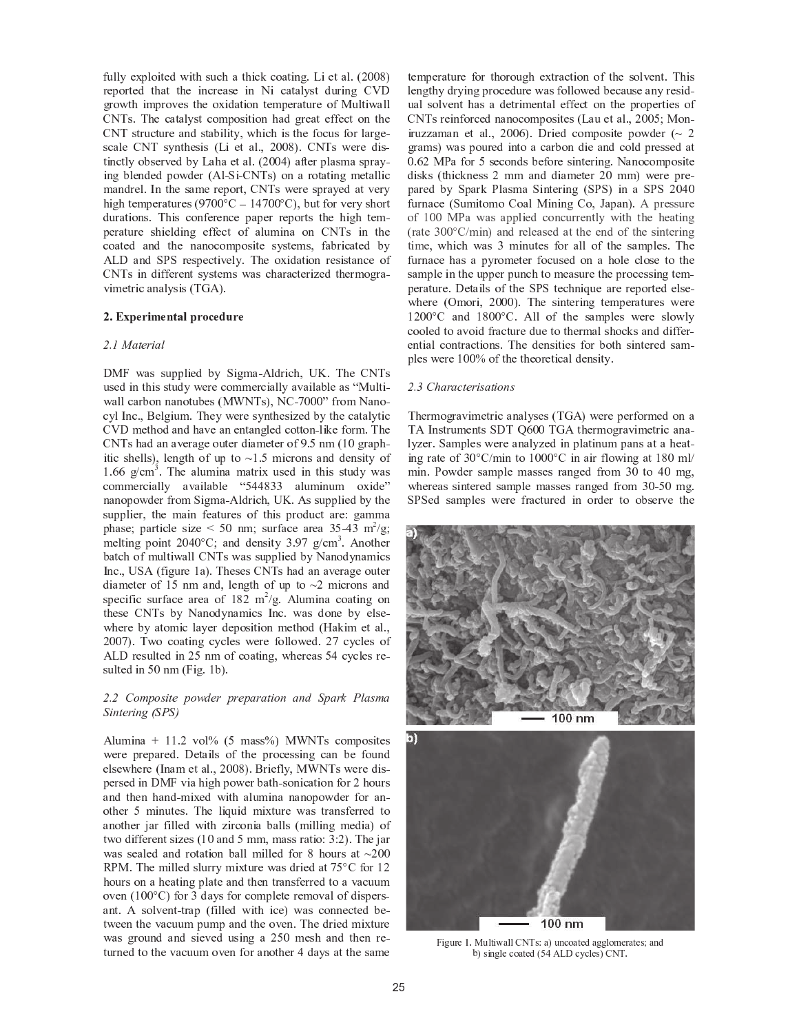fully exploited with such a thick coating. Li et al. (2008) reported that the increase in Ni catalyst during CVD growth improves the oxidation temperature of Multiwall CNTs. The catalyst composition had great effect on the CNT structure and stability, which is the focus for largescale CNT synthesis (Li et al., 2008). CNTs were distinctly observed by Laha et al. (2004) after plasma spraying blended powder (Al-Si-CNTs) on a rotating metallic mandrel. In the same report, CNTs were sprayed at very high temperatures (9700 $\degree$ C = 14700 $\degree$ C), but for very short durations. This conference paper reports the high temperature shielding effect of alumina on CNTs in the coated and the nanocomposite systems, fabricated by ALD and SPS respectively. The oxidation resistance of CNTs in different systems was characterized thermogravimetric analysis (TGA).

#### ✢ <sup>➂</sup> ✣ ✤ ✥ ✦ <sup>➆</sup> <sup>➋</sup> ✧ ✦ <sup>➄</sup> <sup>➅</sup> ★ ✩ ✥ <sup>➆</sup> <sup>➇</sup> <sup>➊</sup> ✦ <sup>➈</sup> <sup>➉</sup> <sup>➆</sup> ✦

#### $\sim$   $\sim$   $\sim$   $\sim$

DMF was supplied by Sigma-Aldrich, UK. The CNTs ، ئۇلدا «4 غۇچرى ۋاملوك» دەربوللوغمىيو مىسمىيو مەھرىسى ئولسىلەر قىلغان ئىلگە دەرب ➼ <sup>➓</sup> <sup>→</sup> <sup>→</sup> <sup>➏</sup> <sup>➓</sup> ➣ ➫ ➙ <sup>➎</sup> <sup>➎</sup> <sup>➓</sup> <sup>➎</sup> ➙ <sup>➑</sup> ➟ ➫ <sup>➐</sup> ↕ ➝ ➞ <sup>Õ</sup> ➯ ➲ ↕ ➨ ➤ ➯ ➭ <sup>↔</sup> ✻ ✼ ✼ ✼ ✽ <sup>á</sup> <sup>æ</sup> <sup>à</sup> ✶ ✾ <sup>â</sup> <sup>ê</sup> <sup>à</sup> <sup>ó</sup> cyl Inc., Belgium. They were synthesized by the catalytic CVD method and have an entangled cotton-like form. The CNTs had an average outer diameter of 9.5 nm (10 graphitic shells), length of up to  $\sim$ 1.5 microns and density of  $1.66$  g/cm<sup>3</sup>. The alumina matrix used in this study was ✵ <sup>à</sup> ✶ ✶ <sup>í</sup> <sup>æ</sup> ✵ <sup>ñ</sup> <sup>â</sup> <sup>ì</sup> <sup>ì</sup> ✴ <sup>â</sup> ✷ <sup>â</sup> <sup>ñ</sup> <sup>ì</sup> <sup>â</sup> ✸ <sup>ì</sup> <sup>í</sup> ✹ ❁ ❂ ❂ ❃ ❄ ❄ <sup>â</sup> ì ã ✶ <sup>ñ</sup> <sup>ê</sup> <sup>ã</sup> ✶ <sup>à</sup> ❅ <sup>ñ</sup> <sup>î</sup> <sup>í</sup> ✽ nanopowder from Sigma-Aldrich, UK. As supplied by the supplier, the main features of this product are: gamma phase; particle size  $\lt$  50 nm; surface area 35-43 m<sup>2</sup>/g; melting point  $2040^{\circ}$ C; and density  $3.97$  g/cm<sup>3</sup>. Another batch of multiwall CNTs was supplied by Nanodynamics Inc., USA (figure 1a). Theses CNTs had an average outer diameter of 15 nm and, length of up to  $\sim$ 2 microns and specific surface area of  $182 \text{ m}^2/\text{g}$ . Alumina coating on these CNTs by Nanodynamics Inc. was done by else-➼ <sup>➒</sup> <sup>➐</sup> ➣ <sup>➐</sup> ➫ ➜ <sup>➓</sup> <sup>➑</sup> ➙ ➸ <sup>➍</sup> <sup>➏</sup> <sup>→</sup> <sup>➓</sup> ➜ <sup>➐</sup> ➣ ➔ <sup>➐</sup> ➽ ➙ ↕ <sup>➍</sup> <sup>➑</sup> <sup>➍</sup> ➙ <sup>➎</sup> ➸ <sup>➐</sup> <sup>➑</sup> <sup>➒</sup> ➙ ➔ ➝ ❮ <sup>➓</sup> ❒ <sup>➍</sup> ➸ <sup>➐</sup> <sup>➑</sup> <sup>➓</sup> <sup>→</sup> ➾ ➤ 2007). Two coating cycles were followed. 27 cycles of ALD resulted in 25 nm of coating, whereas 54 cycles resulted in  $50 \text{ nm}$  (Fig. 1b).

#### ✪ ✫ ✪ ❈ ❉ ❊ ❋ ❉ ● ✲ ✯ ✰ ❋ ❉ ❍ ■ ✰ ✱ ❋ ✱ ✰ ❋ ✮ ✱ ✮ ✯ ✲ ❉ ❏ ✮ ❏ ■ ❑ ❋ ✮ ✱ ▲ ▼ ✳ ✮ ● ❊ ✮ ❑ ✲ ❏ ✯ ✰ ✱ ✲ ❏ ◆ ❖ ❑ ▼ ❑ <sup>P</sup>

Alumina +  $11.2$  vol%  $(5 \text{ mass})$  MWNTs composites were prepared. Details of the processing can be found elsewhere (Inam et al., 2008). Briefly, MWNTs were dispersed in DMF via high power bath-sonication for 2 hours and then hand-mixed with alumina nanopowder for an-➙ <sup>➑</sup> <sup>➒</sup> <sup>➐</sup> ➣ ➶ ➸ <sup>➍</sup> <sup>➎</sup> ➟ <sup>➑</sup> <sup>➐</sup> ↕ ➾ ➲ <sup>➒</sup> <sup>➐</sup> → ➍ Ñ ➟ <sup>➍</sup> ➔ ➸ <sup>➍</sup> ➠ <sup>➑</sup> ➟ ➣ <sup>➐</sup> ➼ <sup>➓</sup> ↕ <sup>➑</sup> ➣ <sup>➓</sup> <sup>➎</sup> ↕ ➩ <sup>➐</sup> ➣ ➣ <sup>➐</sup> ➔ <sup>➑</sup> ➙ another jar filled with zirconia balls (milling media) of two different sizes  $(10 \text{ and } 5 \text{ mm})$ , mass ratio: 3:2). The jar was sealed and rotation ball milled for 8 hours at  $~200$ ❘ <sup>Ð</sup> ➞ ➾ ➲ <sup>➒</sup> <sup>➐</sup> ➸ <sup>➍</sup> <sup>→</sup> <sup>→</sup> <sup>➐</sup> ➔ ↕ → ➟ ➣ ➣ ➜ ➸ <sup>➍</sup> ➠ <sup>➑</sup> ➟ ➣ <sup>➐</sup> ➼ <sup>➓</sup> ↕ ➔ ➣ <sup>➍</sup> <sup>➐</sup> ➔ <sup>➓</sup> <sup>➑</sup> ❐ ➶ <sup>×</sup> ➭ ➩ ➙ ➣ ➺ ➥ hours on a heating plate and then transferred to a vacuum oven  $(100^{\circ}C)$  for 3 days for complete removal of dispersant. A solvent-trap (filled with ice) was connected between the vacuum pump and the oven. The dried mixture was ground and sieved using a 250 mesh and then returned to the vacuum oven for another 4 days at the same

temperature for thorough extraction of the solvent. This lengthy drying procedure was followed because any residual solvent has a detrimental effect on the properties of CNTs reinforced nanocomposites (Lau et al., 2005; Moniruzzaman et al., 2006). Dried composite powder  $\sim 2$ grams) was poured into a carbon die and cold pressed at 0.62 MPa for 5 seconds before sintering. Nanocomposite disks (thickness 2 mm and diameter 20 mm) were prepared by Spark Plasma Sintering (SPS) in a SPS 2040 furnace (Sumitomo Coal Mining Co, Japan). A pressure of 100 MPa was applied concurrently with the heating (rate  $300^{\circ}$ C/min) and released at the end of the sintering time, which was 3 minutes for all of the samples. The furnace has a pyrometer focused on a hole close to the sample in the upper punch to measure the processing temno notus ∩otola e£the CDC toolmique en nonomed elec where (Omori, 2000). The sintering temperatures were  $1200^{\circ}$ C and  $1800^{\circ}$ C. All of the samples were slowly cooled to avoid fracture due to thermal shocks and differential contractions. The densities for both sintered samples were 100% of the theoretical density.

#### ✪ ✫ ❙ ❈ ❚ ✮ ✱ ✮ ❯ ✯ ✰ ✱ ✲ ● ✮ ✯ ✲ ❉ ❏ ●

Thermogravimetric analyses (TGA) were performed on a TA Instruments SDT Q600 TGA thermogravimetric analyzer. Samples were analyzed in platinum pans at a heating rate of  $30^{\circ}$ C/min to  $1000^{\circ}$ C in air flowing at 180 ml/ min. Powder sample masses ranged from 30 to 40 mg, whereas sintered sample masses ranged from 30-50 mg. SPSed samples were fractured in order to observe the





❲ ❳ ❨ ❩ ❬ ❭ ❪ ❫ ❴ ❩ ❵ ❛ ❳ ❜ ❝ ❵ ❵ ❞ ❡ ❢ ❣ ❤ ❝ ✐ ❩ ❥ ❦ ❧ ❝ ❛ ❭ ♠ ❝ ❨ ❨ ❵ ❧ ♥ ❭ ❬ ❝ ❛ ❭ ❣ ♦ ❝ ❥ ♠ ♣ ✐ ❣ ❳ ❥ ❨ ❵ ❭ ❦ ❧ ❝ ❛ ❭ ♠ <sup>q</sup> <sup>r</sup> <sup>s</sup> <sup>t</sup> ✉ ✈ ❦ ✇ ❦ ❵ ❭ ❣ ✐ ❞ ❡ ❢ ❫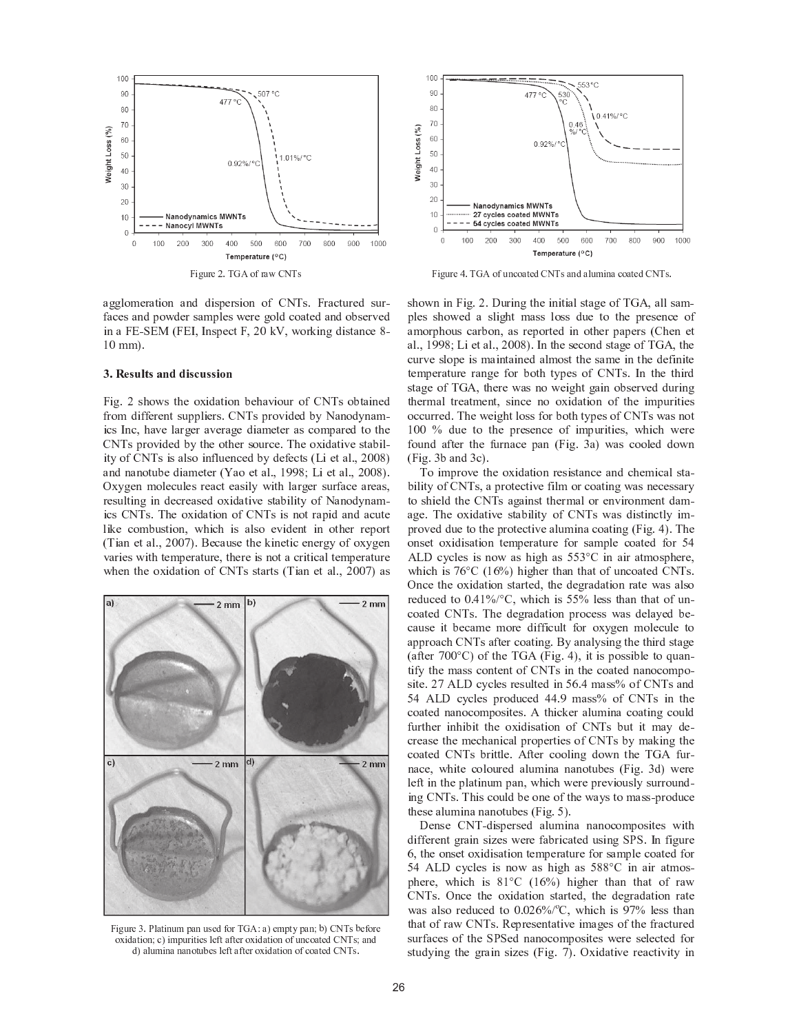

agglomeration and dispersion of CNTs. Fractured surfaces and powder samples were gold coated and observed in a FE-SEM (FEI, Inspect F, 20 kV, working distance 8- $10$  mm $)$ .

#### ③ <sup>➂</sup> <sup>④</sup> ✦ <sup>⑤</sup> <sup>➉</sup> ✩ <sup>➅</sup> <sup>⑤</sup> ★ <sup>➄</sup> <sup>➈</sup> <sup>➈</sup> <sup>➋</sup> <sup>⑤</sup> <sup>➊</sup> <sup>➉</sup> <sup>⑤</sup> <sup>⑤</sup> <sup>➋</sup> <sup>➇</sup> <sup>➄</sup>

Fig. 2 shows the oxidation behaviour of CNTs obtained from different suppliers. CNTs provided by Nanodynamics Inc, have larger average diameter as compared to the CNTs provided by the other source. The oxidative stability of CNTs is also influenced by defects (Li et al., 2008) and nanotube diameter (Yao et al., 1998; Li et al., 2008). Oxygen molecules react easily with larger surface areas, resulting in decreased oxidative stability of Nanodynamics CNTs. The oxidation of CNTs is not rapid and acute like combustion, which is also evident in other report (Tian et al., 2007). Because the kinetic energy of oxygen varies with temperature, there is not a critical temperature when the oxidation of CNTs starts (Tian et al., 2007) as



❲ ❳ ❨ ❩ ❬ ❭ <sup>⑩</sup> ❫ <sup>❶</sup> ❵ ❝ ❛ ❳ ❥ ❩ ♥ <sup>❷</sup> ❝ ❥ ❩ ❣ ❭ ♠ <sup>⑨</sup> ❧ ❬ ❢ <sup>⑧</sup> <sup>t</sup> ❤ ❝ ✐ ❭ ♥ <sup>❷</sup> ❛ ✇ <sup>❷</sup> ❝ ❥ ♦ ♣ ✐ ❞ ❡ ❢ ❣ ♣ ❭ <sup>⑨</sup> ❧ ❬ ❭ ❧ <sup>❸</sup> ❳ ♠ ❝ ❛ ❳ ❧ ❥ ♦ ❦ ✐ ❳ ♥ <sup>❷</sup> ❩ ❬ ❳ ❛ ❳ ❭ ❣ ❵ ❭ <sup>⑨</sup> ❛ ❝ <sup>⑨</sup> ❛ ❭ ❬ ❧ <sup>❸</sup> ❳ ♠ ❝ ❛ ❳ ❧ ❥ ❧ <sup>⑨</sup> ❩ ❥ ❦ ❧ ❝ ❛ ❭ ♠ ❞ ❡ ❢ ❣ ♦ ❝ ❥ ♠ ♠ ✐ ❝ ❵ ❩ ♥ ❳ ❥ ❝ ❥ ❝ ❥ ❧ ❛ ❩ ♣ ❭ ❣ ❵ ❭ <sup>⑨</sup> ❛ ❝ <sup>⑨</sup> ❛ ❭ ❬ ❧ <sup>❸</sup> ❳ ♠ ❝ ❛ ❳ ❧ ❥ ❧ <sup>⑨</sup> ❦ ❧ ❝ ❛ ❭ ♠ ❞ ❡ ❢ ❣ ❫



❲ ❳ ❨ ❩ ❬ ❭ <sup>s</sup> ❫ ❢ <sup>⑧</sup> <sup>t</sup> ❧ <sup>⑨</sup> ❩ ❥ ❦ ❧ ❝ ❛ ❭ ♠ ❞ ❡ ❢ ❣ ❝ ❥ ♠ ❝ ❵ ❩ ♥ ❳ ❥ ❝ ❦ ❧ ❝ ❛ ❭ ♠ ❞ ❡ ❢ ❣ ❫

shown in Fig. 2. During the initial stage of TGA, all samples showed a slight mass loss due to the presence of amorphous carbon, as reported in other papers (Chen et al., 1998; Li et al., 2008). In the second stage of TGA, the curve slope is maintained almost the same in the definite temperature range for both types of CNTs. In the third stage of TGA, there was no weight gain observed during thermal treatment, since no oxidation of the impurities occurred. The weight loss for both types of CNTs was not  $100\%$  due to the presence of impurities, which were found after the furnace pan (Fig. 3a) was cooled down  $(Fig. 3b$  and  $3c)$ .

To improve the oxidation resistance and chemical stability of CNTs, a protective film or coating was necessary to shield the CNTs against thermal or environment damage. The oxidative stability of CNTs was distinctly improved due to the protective alumina coating (Fig. 4). The onset oxidisation temperature for sample coated for 54 ALD cycles is now as high as  $553^{\circ}$ C in air atmosphere, which is  $76^{\circ}$ C (16%) higher than that of uncoated CNTs. Once the oxidation started, the degradation rate was also reduced to  $0.41\%$ /°C, which is 55% less than that of uncoated CNTs. The degradation process was delayed because it became more difficult for oxygen molecule to approach CNTs after coating. By analysing the third stage  $(a\text{frac }7000^\circ)$  of the TCA (Eig. A) it is possible to sugn tify the mass content of CNTs in the coated nanocomposite. 27 ALD cycles resulted in 56.4 mass% of CNTs and 54 ALD cycles produced 44.9 mass% of CNTs in the coated nanocomposites. A thicker alumina coating could further inhibit the oxidisation of CNTs but it may decrease the mechanical properties of CNTs by making the coated CNTs brittle. After cooling down the TGA furnace, white coloured alumina nanotubes (Fig. 3d) were left in the platinum pan, which were previously surrounding CNTs. This could be one of the ways to mass-produce these alumina nanotubes (Fig.  $5$ ).

Dense CNT-dispersed alumina nanocomposites with different grain sizes were fabricated using SPS. In figure 6, the onset oxidisation temperature for sample coated for 54 ALD cycles is now as high as 588°C in air atmosphere, which is  $81^{\circ}$ C  $(16\%)$  higher than that of raw CNTs. Once the oxidation started, the degradation rate was also reduced to  $0.026\%$ <sup>o</sup>C, which is 97% less than <sup>➑</sup> <sup>➒</sup> <sup>➓</sup> <sup>➑</sup> ➙ ➩ ➣ <sup>➓</sup> ➼ ➭ ➯ ➲ ↕ ➾ ❘ <sup>➐</sup> ➽ ➣ <sup>➐</sup> ↕ <sup>➐</sup> <sup>➎</sup> <sup>➑</sup> <sup>➓</sup> <sup>➑</sup> <sup>➍</sup> ➛ <sup>➐</sup> <sup>➍</sup> ➸ <sup>➓</sup> ➪ <sup>➐</sup> ↕ ➙ ➩ <sup>➑</sup> <sup>➒</sup> <sup>➐</sup> ➩ ➣ <sup>➓</sup> <sup>➏</sup> <sup>➑</sup> ➟ ➣ <sup>➐</sup> ➔ surfaces of the SPSed nanocomposites were selected for studying the grain sizes (Fig. 7). Oxidative reactivity in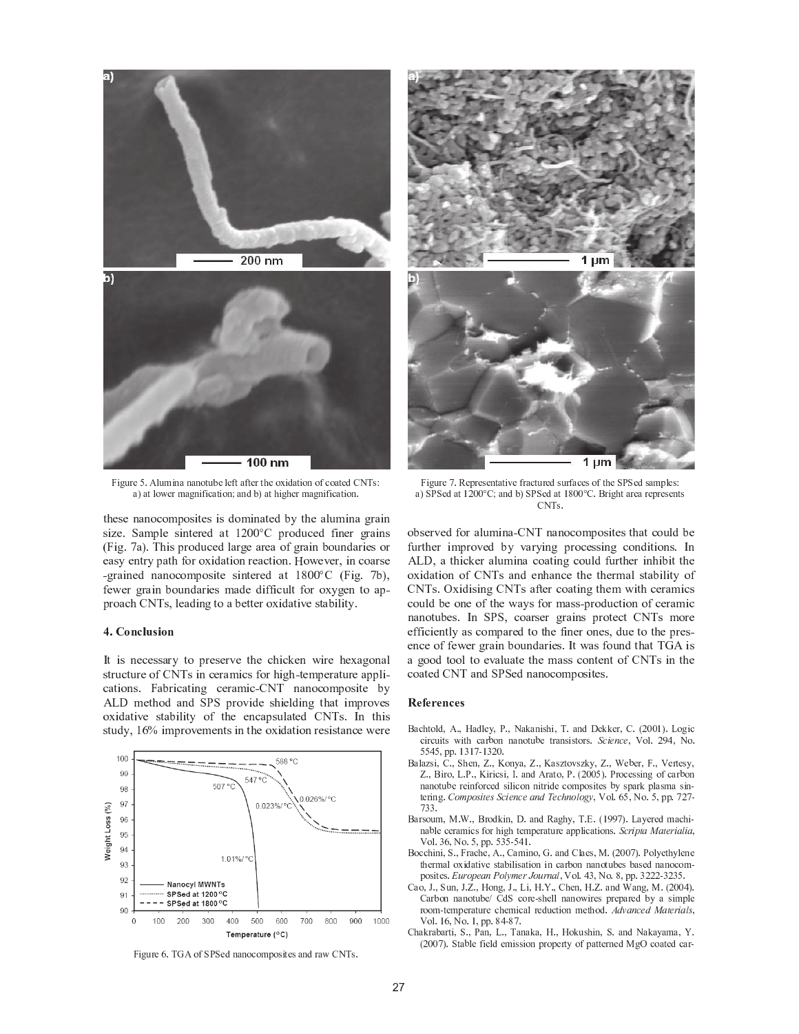

❲ ❳ ❨ ❩ ❬ ❭ <sup>r</sup> ❫ <sup>t</sup> ❵ ❩ ♥ ❳ ❥ ❝ ❥ ❝ ❥ ❧ ❛ ❩ ♣ ❭ ❵ ❭ <sup>⑨</sup> ❛ ❝ <sup>⑨</sup> ❛ ❭ ❬ ❛ <sup>❾</sup> ❭ ❧ <sup>❸</sup> ❳ ♠ ❝ ❛ ❳ ❧ ❥ ❧ <sup>⑨</sup> ❦ ❧ ❝ ❛ ❭ ♠ ❞ ❡ ❢ ❣ ❤ ❝ ✐ ❝ ❛ ❵ ❧ ❜ ❭ ❬ ♥ ❝ ❨ ❥ ❳ <sup>⑨</sup> ❳ ❦ ❝ ❛ ❳ ❧ ❥ ♦ ❝ ❥ ♠ ♣ ✐ ❝ ❛ <sup>❾</sup> ❳ ❨ <sup>❾</sup> ❭ ❬ ♥ ❝ ❨ ❥ ❳ <sup>⑨</sup> ❳ ❦ ❝ ❛ ❳ ❧ ❥ ❫

these nanocomposites is dominated by the alumina grain size. Sample sintered at  $1200^{\circ}$ C produced finer grains (Fig. 7a). This produced large area of grain boundaries or <sup>➐</sup> <sup>➓</sup> ↕ ➜ <sup>➐</sup> <sup>➎</sup> <sup>➑</sup> ➣ ➜ ➽ <sup>➓</sup> <sup>➑</sup> <sup>➒</sup> ➩ ➙ ➣ ➙ ➠ <sup>➍</sup> ➔ <sup>➓</sup> <sup>➑</sup> <sup>➍</sup> ➙ <sup>➎</sup> ➣ <sup>➐</sup> <sup>➓</sup> <sup>➏</sup> <sup>➑</sup> <sup>➍</sup> ➙ <sup>➎</sup> ➾ ❮ ➙ ➼ <sup>➐</sup> ➛ <sup>➐</sup> ➣ ➤ <sup>➍</sup> <sup>➎</sup> <sup>➏</sup> ➙ <sup>➓</sup> ➣ ↕ <sup>➐</sup> -grained nanocomposite sintered at  $1800^{\circ}$ C (Fig. 7b), fewer grain boundaries made difficult for oxygen to approach CNTs, leading to a better oxidative stability.

#### ❺ <sup>➂</sup> <sup>❻</sup> <sup>➇</sup> <sup>➄</sup> <sup>➊</sup> ✩ <sup>➉</sup> <sup>⑤</sup> <sup>➋</sup> <sup>➇</sup> <sup>➄</sup>

It is necessary to preserve the chicken wire hexagonal structure of CNTs in ceramics for high-temperature applications. Fabricating ceramic-CNT nanocomposite by ALD method and SPS provide shielding that improves oxidative stability of the encapsulated CNTs. In this study, 16% improvements in the oxidation resistance were



❲ ❳ ❨ ❩ ❬ ❭ ➡ ❫ ❢ <sup>⑧</sup> <sup>t</sup> ❧ <sup>⑨</sup> <sup>➍</sup> <sup>❶</sup> <sup>➍</sup> ❭ ♠ ❥ ❝ ❥ ❧ ❦ ❧ ♥ <sup>❷</sup> ❧ ❣ ❳ ❛ ❭ ❣ ❝ ❥ ♠ ❬ ❝ ❜ ❞ ❡ ❢ ❣ ❫





❲ ❳ ❨ ❩ ❬ ❭ <sup>➊</sup> ❫ ➢ ❭ <sup>❷</sup> ❬ ❭ ❣ ❭ ❥ ❛ ❝ ❛ ❳ <sup>➐</sup> ❭ <sup>⑨</sup> ❬ ❝ ❦ ❛ ❩ ❬ ❭ ♠ ❣ ❩ ❬ <sup>⑨</sup> ❝ ❦ ❭ ❣ ❧ <sup>⑨</sup> ❛ <sup>❾</sup> ❭ <sup>➍</sup> <sup>❶</sup> <sup>➍</sup> ❭ ♠ ❣ ❝ ♥ <sup>❷</sup> ❵ ❭ ❣ ❤ ❝ ✐ <sup>➍</sup> <sup>❶</sup> <sup>➍</sup> ❭ ♠ ❝ ❛ ❪ <sup>⑦</sup> <sup>➂</sup> <sup>➂</sup> ➻ ❞ ♦ ❝ ❥ ♠ ♣ ✐ <sup>➍</sup> <sup>❶</sup> <sup>➍</sup> ❭ ♠ ❝ ❛ ❪ ➭ <sup>➂</sup> <sup>➂</sup> ➻ ❞ ❫ <sup>❽</sup> ❬ ❳ ❨ <sup>❾</sup> ❛ ❝ ❬ ❭ ❝ ❬ ❭ <sup>❷</sup> ❬ ❭ ❣ ❭ ❥ ❛ ❣  $\sim$ 

observed for alumina-CNT nanocomposites that could be further improved by varying processing conditions. In ALD, a thicker alumina coating could further inhibit the oxidation of CNTs and enhance the thermal stability of CNTs. Oxidising CNTs after coating them with ceramics could be one of the ways for mass-production of ceramic nanotubes. In SPS, coarser grains protect CNTs more efficiently as compared to the finer ones, due to the presence of fewer grain boundaries. It was found that TGA is a good tool to evaluate the mass content of CNTs in the coated CNT and SPSed nanocomposites.

#### ④ ✦ <sup>❼</sup> ✦ <sup>➆</sup> ✦ <sup>➄</sup> <sup>➊</sup> ✦ <sup>⑤</sup>

- ❽ ❝ ❦ <sup>❾</sup> ❛ ❧ ❵ ♠ <sup>❿</sup> <sup>t</sup> ❫ ❿ <sup>➀</sup> ❝ ♠ ❵ ❭ ✇ <sup>❿</sup> <sup>❶</sup> ❫ ❿ ❡ ❝ <sup>➁</sup> ❝ ❥ ❳ ❣ <sup>❾</sup> ❳ <sup>❿</sup> ❢ ❫ ❝ ❥ ♠ ✈ ❭ <sup>➁</sup> <sup>➁</sup> ❭ ❬ <sup>❿</sup> ❞ ❫ <sup>q</sup> <sup>⑦</sup> <sup>➂</sup> <sup>➂</sup> ❪ ✐ ❫ ✉ ❧ ❨ ❳ ❦ ❦ ❳ ❬ ❦ ❩ ❳ ❛ ❣ ❜ ❳ ❛ <sup>❾</sup> ❦ ❝ ❬ ♣ ❧ ❥ ❥ ❝ ❥ ❧ ❛ ❩ ♣ ❭ ❛ ❬ ❝ ❥ ❣ ❳ ❣ ❛ ❧ ❬ ❣ ❫ <sup>➃</sup> <sup>➄</sup> <sup>➅</sup> <sup>➆</sup> <sup>➇</sup> <sup>➄</sup> <sup>➆</sup> <sup>❿</sup> <sup>➈</sup> ❧ ❵ ❫ <sup>⑦</sup> <sup>➉</sup> <sup>s</sup> <sup>❿</sup> ❡ ❧ ❫ r <sup>r</sup> <sup>s</sup> <sup>r</sup> <sup>❿</sup> <sup>❷</sup> <sup>❷</sup> ❫ ❪ <sup>⑩</sup> ❪ <sup>➊</sup> <sup>➋</sup> ❪ <sup>⑩</sup> <sup>⑦</sup> <sup>➂</sup> ❫
- ❽ ❝ ❵ ❝ <sup>➌</sup> ❣ ❳ <sup>❿</sup> ❞ ❫ ❿ <sup>➍</sup> <sup>❾</sup> ❭ ❥ <sup>❿</sup> <sup>➎</sup> ❫ ❿ <sup>➏</sup> ❧ ❥ ✇ ❝ <sup>❿</sup> <sup>➎</sup> ❫ ❿ <sup>➏</sup> ❝ ❣ <sup>➌</sup> ❛ ❧ <sup>➐</sup> ❣ <sup>➌</sup> <sup>➁</sup> ✇ <sup>❿</sup> <sup>➎</sup> ❫ ❿ <sup>➑</sup> ❭ ♣ ❭ ❬ <sup>❿</sup> ❲ ❫ ❿ <sup>➈</sup> ❭ ❬ ❛ ❭ ❣ ✇ <sup>❿</sup> ➎ ❫ ❿ <sup>❽</sup> ❳ ❬ ❧ <sup>❿</sup> ✉ ❫ ❶ ❫ ❿ <sup>➏</sup> ❳ ❬ ❳ ❦ ❣ ❳ <sup>❿</sup> <sup>➒</sup> ❫ ❝ ❥ ♠ <sup>t</sup> ❬ ❝ ❛ ❧ <sup>❿</sup> <sup>❶</sup> ❫ <sup>q</sup> <sup>⑦</sup> <sup>➂</sup> <sup>➂</sup> <sup>r</sup> ✐ ❫ <sup>❶</sup> ❬ ❧ ❦ ❭ ❣ ❣ ❳ ❥ ❨ ❧ <sup>⑨</sup> ❦ ❝ ❬ ♣ ❧ ❥ ❥ ❝ ❥ ❧ ❛ ❩ ♣ ❭ ❬ ❭ ❳ ❥ <sup>⑨</sup> ❧ ❬ ❦ ❭ ♠ ❣ ❳ ❵ ❳ ❦ ❧ ❥ ❥ ❳ ❛ ❬ ❳ ♠ ❭ ❦ ❧ ♥ <sup>❷</sup> ❧ ❣ ❳ ❛ ❭ ❣ ♣ ✇ ❣ <sup>❷</sup> ❝ ❬ <sup>➁</sup> <sup>❷</sup> ❵ ❝ ❣ ♥ ❝ ❣ ❳ ❥ <sup>➋</sup> ❛ ❭ ❬ ❳ ❥ ❨ ❫ <sup>➓</sup> ➔ <sup>→</sup> ➣ ➔ <sup>↔</sup> <sup>➅</sup> ↕ <sup>➆</sup> <sup>↔</sup> <sup>➃</sup> <sup>➄</sup> <sup>➅</sup> <sup>➆</sup> <sup>➇</sup> <sup>➄</sup> <sup>➆</sup> ➙ <sup>➇</sup> ➛ ➜ <sup>➆</sup> <sup>➄</sup> ➝ <sup>➇</sup> ➔ ➞ ➔ ➟ ➠ <sup>❿</sup> <sup>➈</sup> ❧ ❵ ❫ ➡ <sup>r</sup> <sup>❿</sup> ❡ ❧ ❫ <sup>r</sup> <sup>❿</sup> <sup>❷</sup> <sup>❷</sup> ❫ <sup>➊</sup> <sup>⑦</sup> <sup>➊</sup> <sup>➋</sup>  $-\circ$
- ❽ ❝ ❬ ❣ ❧ ❩ ♥ <sup>❿</sup> ❴ ❫ ➑ ❫ ❿ <sup>❽</sup> ❬ ❧ ♠ <sup>➁</sup> ❳ ❥ <sup>❿</sup> ✈ ❫ ❝ ❥ ♠ ➢ ❝ ❨ <sup>❾</sup> ✇ <sup>❿</sup> ❢ ❫ ➤ ❫ <sup>q</sup> ❪ <sup>➉</sup> <sup>➉</sup> <sup>➊</sup> ✐ ❫ ✉ ❝ ✇ ❭ ❬ ❭ ♠ ♥ ❝ ❦ <sup>❾</sup> ❳ <sup>➋</sup> ❥ ❝ ♣ ❵ ❭ ❦ ❭ ❬ ❝ ♥ ❳ ❦ ❣ <sup>⑨</sup> ❧ ❬ <sup>❾</sup> ❳ ❨ <sup>❾</sup> ❛ ❭ ♥ <sup>❷</sup> ❭ ❬ ❝ ❛ ❩ ❬ ❭ ❝ <sup>❷</sup> <sup>❷</sup> ❵ ❳ ❦ ❝ ❛ ❳ ❧ ❥ ❣ ❫ <sup>➃</sup> <sup>➄</sup> ➥ ➅ ➣ ↕ ➙ ➦ ➙ ↕ <sup>➆</sup> ➥ <sup>➅</sup> ➙ ➞ <sup>➅</sup> ➙ <sup>❿</sup> ➈ ❧ ❵ ❫ <sup>⑩</sup> ➡ <sup>❿</sup> ❡ ❧ ❫ <sup>r</sup> <sup>❿</sup> <sup>❷</sup> <sup>❷</sup> ❫ <sup>r</sup> <sup>⑩</sup> <sup>r</sup> <sup>➋</sup> <sup>r</sup> <sup>s</sup> ❪ ❫
- ❽ ❧ ❦ ❦ <sup>❾</sup> ❳ ❥ ❳ <sup>❿</sup> <sup>➍</sup> ❫ ❿ ❲ ❬ ❝ ❦ <sup>❾</sup> ❭ <sup>❿</sup> <sup>t</sup> ❫ ❿ ❞ ❝ ♥ ❳ ❥ ❧ <sup>❿</sup> <sup>⑧</sup> ❫ ❝ ❥ ♠ ❞ ❵ ❝ ❭ ❣ <sup>❿</sup> ❴ ❫ <sup>q</sup> <sup>⑦</sup> <sup>➂</sup> <sup>➂</sup> <sup>➊</sup> ✐ ❫ <sup>❶</sup> ❧ ❵ ✇ ❭ ❛ <sup>❾</sup> ✇ ❵ ❭ ❥ ❭ ❛ <sup>❾</sup> ❭ ❬ ♥ ❝ ❵ ❧ <sup>❸</sup> ❳ ♠ ❝ ❛ ❳ <sup>➐</sup> ❭ ❣ ❛ ❝ ♣ ❳ ❵ ❳ ❣ ❝ ❛ ❳ ❧ ❥ ❳ ❥ ❦ ❝ ❬ ♣ ❧ ❥ ❥ ❝ ❥ ❧ ❛ ❩ ♣ ❭ ❣ ♣ ❝ ❣ ❭ ♠ ❥ ❝ ❥ ❧ ❦ ❧ ♥ <sup>➋</sup> ❷ ❧ ❣ ❳ ❛ ❭ ❣ ❫ ➧ ➨ ➥ ➔ ➣ <sup>➆</sup> ➙ <sup>➇</sup> ➩ ➔ ➞ ➠ <sup>→</sup> <sup>➆</sup> ➥ ➫ ➔ ➨ ➥ <sup>➇</sup> ➙ ➞ ❿ <sup>➈</sup> ❧ ❵ ❫ <sup>s</sup> <sup>⑩</sup> <sup>❿</sup> ❡ ❧ ❫ ➭ <sup>❿</sup> <sup>❷</sup> <sup>❷</sup> ❫ <sup>⑩</sup> <sup>⑦</sup> <sup>⑦</sup> <sup>⑦</sup> <sup>➋</sup> <sup>⑩</sup> <sup>⑦</sup> <sup>⑩</sup> <sup>r</sup> ❫
- ❞ ❝ ❧ <sup>❿</sup> ➯ ❫ ❿ <sup>➍</sup> ❩ ❥ <sup>❿</sup> ➯ ❫ ➎ ❫ ❿ <sup>➀</sup> ❧ ❥ ❨ <sup>❿</sup> ➯ ❫ ❿ ✉ ❳ <sup>❿</sup> <sup>➀</sup> ❫ ➲ ❫ ❿ ❞ <sup>❾</sup> ❭ ❥ <sup>❿</sup> <sup>➀</sup> ❫ ➎ ❫ ❝ ❥ ♠ <sup>➑</sup> ❝ ❥ ❨ <sup>❿</sup> ❴ ❫ <sup>q</sup> <sup>⑦</sup> <sup>➂</sup> <sup>➂</sup> <sup>s</sup> ✐ ❫ ❞ ❝ ❬ ♣ ❧ ❥ ❥ ❝ ❥ ❧ ❛ ❩ ♣ ❭ ➳ ❞ ♠ <sup>➍</sup> ❦ ❧ ❬ ❭ <sup>➋</sup> ❣ <sup>❾</sup> ❭ ❵ ❵ ❥ ❝ ❥ ❧ ❜ ❳ ❬ ❭ ❣ <sup>❷</sup> ❬ ❭ <sup>❷</sup> ❝ ❬ ❭ ♠ ♣ ✇ ❝ ❣ ❳ ♥ <sup>❷</sup> ❵ ❭ ❬ ❧ ❧ ♥ <sup>➋</sup> ❛ ❭ ♥ <sup>❷</sup> ❭ ❬ ❝ ❛ ❩ ❬ ❭ ❦ <sup>❾</sup> ❭ ♥ ❳ ❦ ❝ ❵ ❬ ❭ ♠ ❩ ❦ ❛ ❳ ❧ ❥ ♥ ❭ ❛ <sup>❾</sup> ❧ ♠ ❫ ➵ ➛ ➸ ➙ <sup>➇</sup> <sup>➄</sup> <sup>➆</sup> ➛ ➦ ➙ ↕ <sup>➆</sup> ➥ <sup>➅</sup> ➙ ➞ ↔ <sup>❿</sup> ➈ ❧ ❵ ❫ ❪ ➡ <sup>❿</sup> ❡ ❧ ❫ ❪ <sup>❿</sup> <sup>❷</sup> <sup>❷</sup> ❫ ➭ <sup>s</sup> <sup>➋</sup> ➭ <sup>➊</sup> ❫
- ❞ <sup>❾</sup> ❝ <sup>➁</sup> ❬ ❝ ♣ ❝ ❬ ❛ ❳ <sup>❿</sup> <sup>➍</sup> ❫ ❿ <sup>❶</sup> ❝ ❥ <sup>❿</sup> ✉ ❫ ❿ ❢ ❝ ❥ ❝ <sup>➁</sup> ❝ <sup>❿</sup> <sup>➀</sup> ❫ ❿ <sup>➀</sup> ❧ <sup>➁</sup> ❩ ❣ <sup>❾</sup> ❳ ❥ <sup>❿</sup> <sup>➍</sup> ❫ ❝ ❥ ♠ ❡ ❝ <sup>➁</sup> ❝ ✇ ❝ ♥ ❝ <sup>❿</sup> ➲ ❫ q <sup>⑦</sup> <sup>➂</sup> <sup>➂</sup> <sup>➊</sup> ✐ ❫ <sup>➍</sup> ❛ ❝ ♣ ❵ ❭ <sup>⑨</sup> ❳ ❭ ❵ ♠ ❭ ♥ ❳ ❣ ❣ ❳ ❧ ❥ <sup>❷</sup> ❬ ❧ <sup>❷</sup> ❭ ❬ ❛ ✇ ❧ <sup>⑨</sup> <sup>❷</sup> ❝ ❛ ❛ ❭ ❬ ❥ ❭ ♠ ❴ ❨ ➺ ❦ ❧ ❝ ❛ ❭ ♠ ❦ ❝ ❬ <sup>➋</sup>